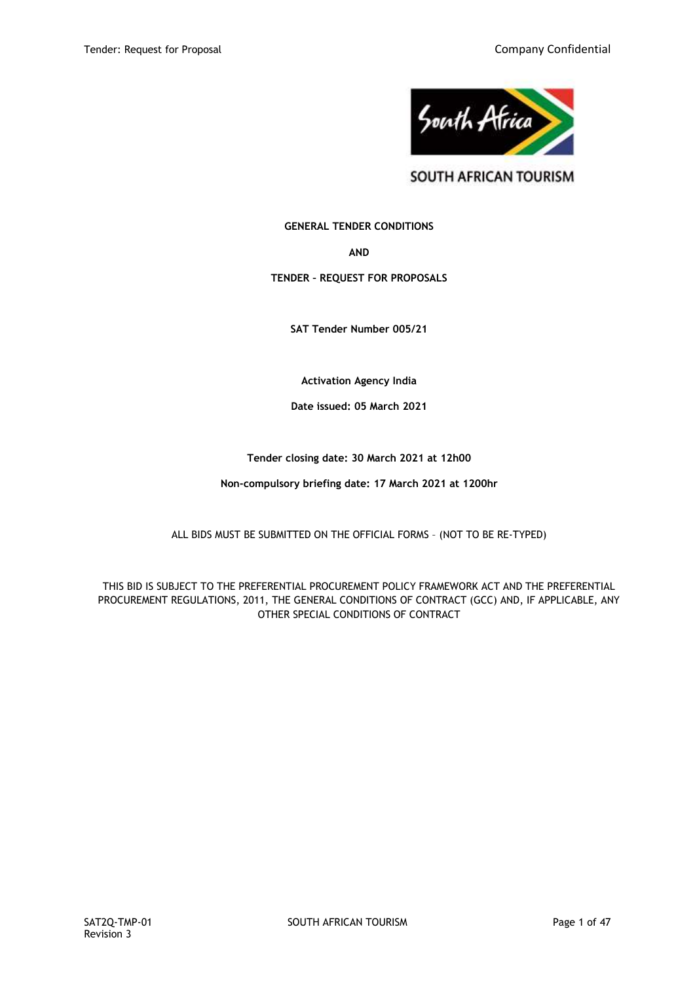

SOUTH AFRICAN TOURISM

**GENERAL TENDER CONDITIONS**

**AND**

**TENDER – REQUEST FOR PROPOSALS**

**SAT Tender Number 005/21**

**Activation Agency India**

**Date issued: 05 March 2021**

**Tender closing date: 30 March 2021 at 12h00**

**Non-compulsory briefing date: 17 March 2021 at 1200hr**

ALL BIDS MUST BE SUBMITTED ON THE OFFICIAL FORMS – (NOT TO BE RE-TYPED)

THIS BID IS SUBJECT TO THE PREFERENTIAL PROCUREMENT POLICY FRAMEWORK ACT AND THE PREFERENTIAL PROCUREMENT REGULATIONS, 2011, THE GENERAL CONDITIONS OF CONTRACT (GCC) AND, IF APPLICABLE, ANY OTHER SPECIAL CONDITIONS OF CONTRACT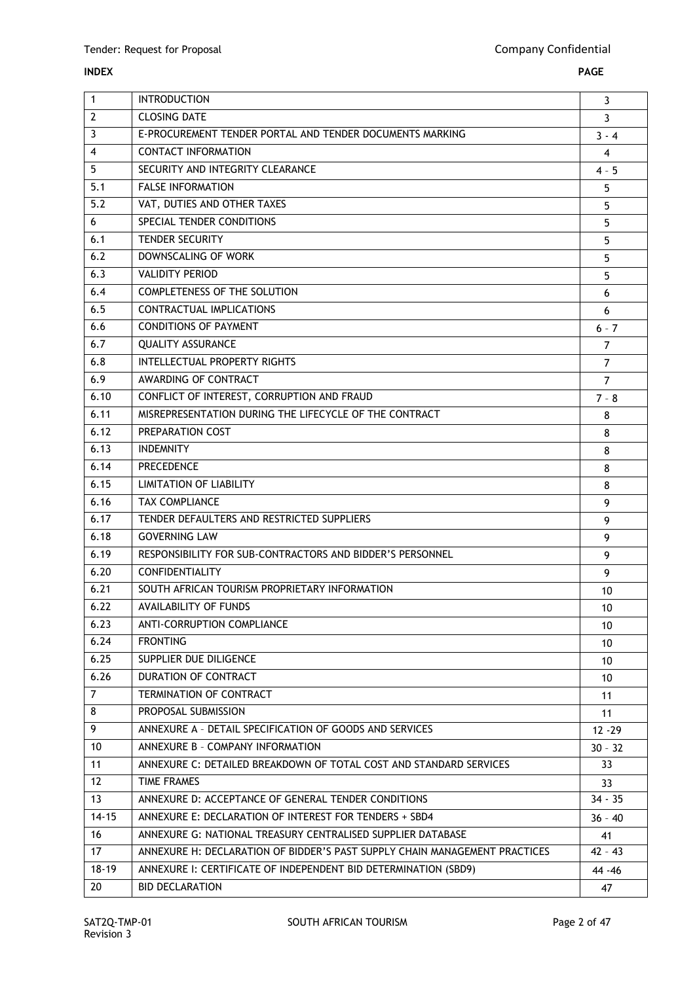## **INDEX PAGE**

 $\mathbf{r}$ 

| $\mathbf{1}$   | <b>INTRODUCTION</b>                                                        |                |
|----------------|----------------------------------------------------------------------------|----------------|
| $\overline{2}$ | <b>CLOSING DATE</b>                                                        | 3              |
| 3              | E-PROCUREMENT TENDER PORTAL AND TENDER DOCUMENTS MARKING                   | $3 - 4$        |
| $\overline{4}$ | <b>CONTACT INFORMATION</b>                                                 | 4              |
| 5              | SECURITY AND INTEGRITY CLEARANCE                                           | $4 - 5$        |
| 5.1            | <b>FALSE INFORMATION</b>                                                   | 5              |
| 5.2            | VAT, DUTIES AND OTHER TAXES                                                | 5              |
| 6              | SPECIAL TENDER CONDITIONS                                                  | 5              |
| 6.1            | <b>TENDER SECURITY</b>                                                     | 5              |
| 6.2            | DOWNSCALING OF WORK                                                        | 5              |
| 6.3            | <b>VALIDITY PERIOD</b>                                                     | 5              |
| 6.4            | <b>COMPLETENESS OF THE SOLUTION</b>                                        | 6              |
| 6.5            | CONTRACTUAL IMPLICATIONS                                                   | 6              |
| 6.6            | <b>CONDITIONS OF PAYMENT</b>                                               | $6 - 7$        |
| 6.7            | <b>QUALITY ASSURANCE</b>                                                   | $\overline{7}$ |
| 6.8            | INTELLECTUAL PROPERTY RIGHTS                                               | $\overline{7}$ |
| 6.9            | AWARDING OF CONTRACT                                                       | $\overline{7}$ |
| 6.10           | CONFLICT OF INTEREST, CORRUPTION AND FRAUD                                 | $7 - 8$        |
| 6.11           | MISREPRESENTATION DURING THE LIFECYCLE OF THE CONTRACT                     | 8              |
| 6.12           | PREPARATION COST                                                           | 8              |
| 6.13           | <b>INDEMNITY</b>                                                           | 8              |
| 6.14           | <b>PRECEDENCE</b>                                                          | 8              |
| 6.15           | <b>LIMITATION OF LIABILITY</b>                                             | 8              |
| 6.16           | <b>TAX COMPLIANCE</b>                                                      | 9              |
| 6.17           | TENDER DEFAULTERS AND RESTRICTED SUPPLIERS                                 | 9              |
| 6.18           | <b>GOVERNING LAW</b>                                                       | 9              |
| 6.19           | RESPONSIBILITY FOR SUB-CONTRACTORS AND BIDDER'S PERSONNEL                  | 9              |
| 6.20           | <b>CONFIDENTIALITY</b>                                                     | 9              |
| 6.21           | SOUTH AFRICAN TOURISM PROPRIETARY INFORMATION                              | 10             |
| 6.22           | <b>AVAILABILITY OF FUNDS</b>                                               | 10             |
| 6.23           | ANTI-CORRUPTION COMPLIANCE                                                 | 10             |
| 6.24           | <b>FRONTING</b>                                                            | 10             |
| 6.25           | SUPPLIER DUE DILIGENCE                                                     | 10             |
| 6.26           | DURATION OF CONTRACT                                                       | 10             |
| $\overline{7}$ | TERMINATION OF CONTRACT                                                    | 11             |
| 8              | PROPOSAL SUBMISSION                                                        | 11             |
| 9              | ANNEXURE A - DETAIL SPECIFICATION OF GOODS AND SERVICES                    | $12 - 29$      |
| 10             | ANNEXURE B - COMPANY INFORMATION                                           | $30 - 32$      |
| 11             | ANNEXURE C: DETAILED BREAKDOWN OF TOTAL COST AND STANDARD SERVICES         | 33             |
| 12             | <b>TIME FRAMES</b>                                                         | 33             |
| 13             | ANNEXURE D: ACCEPTANCE OF GENERAL TENDER CONDITIONS                        | $34 - 35$      |
| $14 - 15$      | ANNEXURE E: DECLARATION OF INTEREST FOR TENDERS + SBD4                     | 36 - 40        |
| 16             | ANNEXURE G: NATIONAL TREASURY CENTRALISED SUPPLIER DATABASE                | 41             |
| 17             | ANNEXURE H: DECLARATION OF BIDDER'S PAST SUPPLY CHAIN MANAGEMENT PRACTICES | 42 - 43        |
| $18 - 19$      | ANNEXURE I: CERTIFICATE OF INDEPENDENT BID DETERMINATION (SBD9)            | 44 - 46        |
| 20             | <b>BID DECLARATION</b>                                                     | 47             |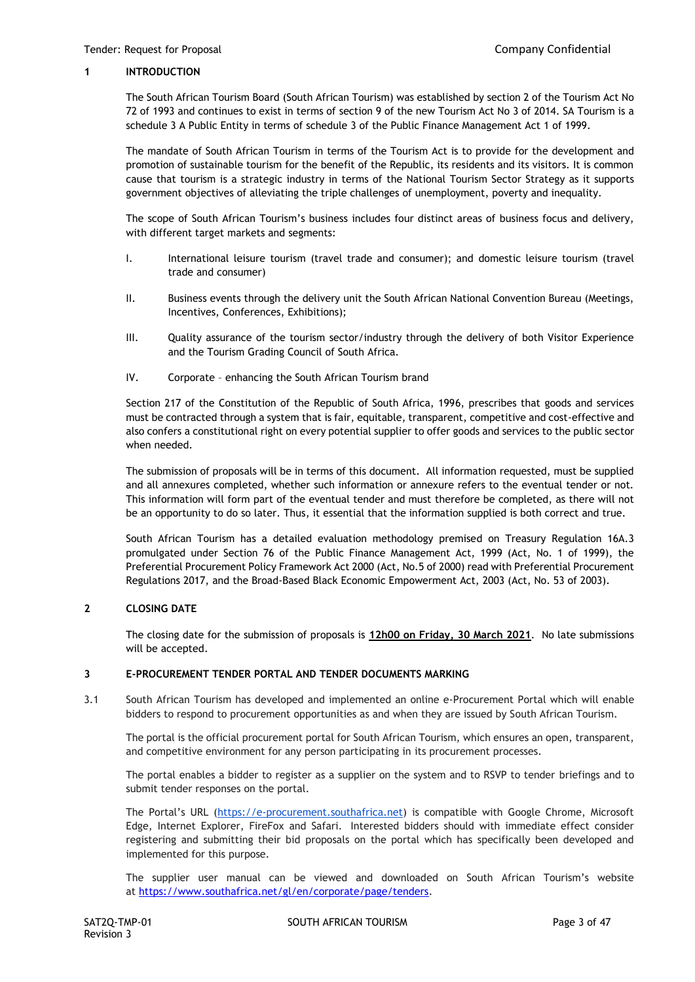## **1 INTRODUCTION**

The South African Tourism Board (South African Tourism) was established by section 2 of the Tourism Act No 72 of 1993 and continues to exist in terms of section 9 of the new Tourism Act No 3 of 2014. SA Tourism is a schedule 3 A Public Entity in terms of schedule 3 of the Public Finance Management Act 1 of 1999.

The mandate of South African Tourism in terms of the Tourism Act is to provide for the development and promotion of sustainable tourism for the benefit of the Republic, its residents and its visitors. It is common cause that tourism is a strategic industry in terms of the National Tourism Sector Strategy as it supports government objectives of alleviating the triple challenges of unemployment, poverty and inequality.

The scope of South African Tourism's business includes four distinct areas of business focus and delivery, with different target markets and segments:

- I. International leisure tourism (travel trade and consumer); and domestic leisure tourism (travel trade and consumer)
- II. Business events through the delivery unit the South African National Convention Bureau (Meetings, Incentives, Conferences, Exhibitions);
- III. Quality assurance of the tourism sector/industry through the delivery of both Visitor Experience and the Tourism Grading Council of South Africa.
- IV. Corporate enhancing the South African Tourism brand

Section 217 of the Constitution of the Republic of South Africa, 1996, prescribes that goods and services must be contracted through a system that is fair, equitable, transparent, competitive and cost-effective and also confers a constitutional right on every potential supplier to offer goods and services to the public sector when needed.

The submission of proposals will be in terms of this document. All information requested, must be supplied and all annexures completed, whether such information or annexure refers to the eventual tender or not. This information will form part of the eventual tender and must therefore be completed, as there will not be an opportunity to do so later. Thus, it essential that the information supplied is both correct and true.

South African Tourism has a detailed evaluation methodology premised on Treasury Regulation 16A.3 promulgated under Section 76 of the Public Finance Management Act, 1999 (Act, No. 1 of 1999), the Preferential Procurement Policy Framework Act 2000 (Act, No.5 of 2000) read with Preferential Procurement Regulations 2017, and the Broad-Based Black Economic Empowerment Act, 2003 (Act, No. 53 of 2003).

## **2 CLOSING DATE**

The closing date for the submission of proposals is **12h00 on Friday, 30 March 2021**. No late submissions will be accepted.

#### **3 E-PROCUREMENT TENDER PORTAL AND TENDER DOCUMENTS MARKING**

3.1 South African Tourism has developed and implemented an online e-Procurement Portal which will enable bidders to respond to procurement opportunities as and when they are issued by South African Tourism.

The portal is the official procurement portal for South African Tourism, which ensures an open, transparent, and competitive environment for any person participating in its procurement processes.

The portal enables a bidder to register as a supplier on the system and to RSVP to tender briefings and to submit tender responses on the portal.

The Portal's URL ([https://e-procurement.southafrica.net\)](https://e-procurement.southafrica.net/) is compatible with Google Chrome, Microsoft Edge, Internet Explorer, FireFox and Safari. Interested bidders should with immediate effect consider registering and submitting their bid proposals on the portal which has specifically been developed and implemented for this purpose.

The supplier user manual can be viewed and downloaded on South African Tourism's website at [https://www.southafrica.net/gl/en/corporate/page/tenders.](https://www.southafrica.net/gl/en/corporate/page/tenders)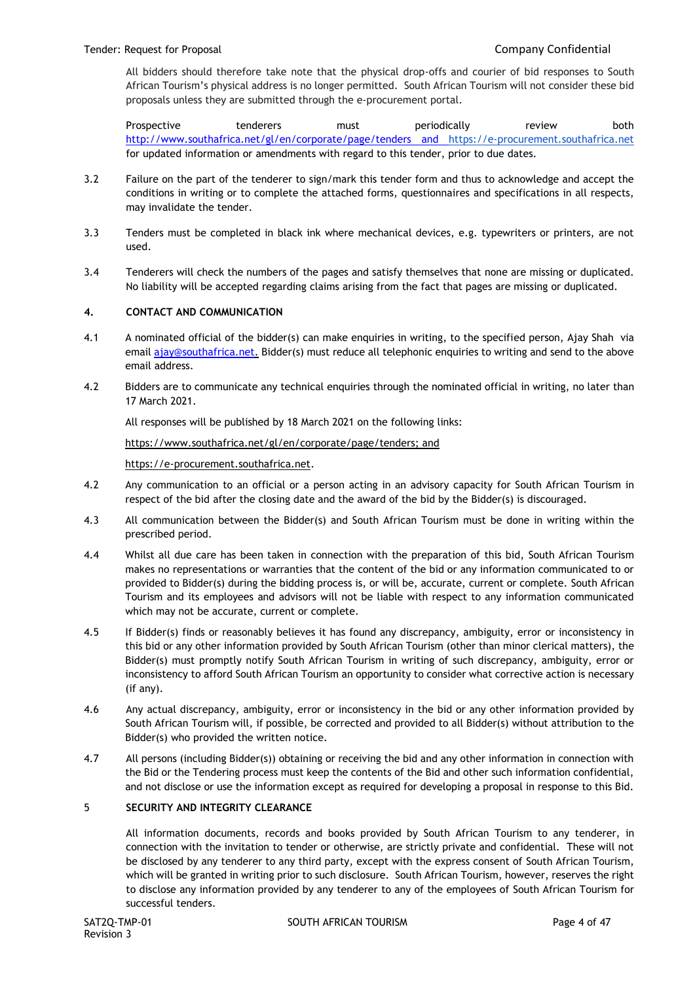All bidders should therefore take note that the physical drop-offs and courier of bid responses to South African Tourism's physical address is no longer permitted. South African Tourism will not consider these bid proposals unless they are submitted through the e-procurement portal.

Prospective tenderers must periodically review both <http://www.southafrica.net/gl/en/corporate/page/tenders> and [https://e-procurement.southafrica.net](https://e-procurement.southafrica.net/) for updated information or amendments with regard to this tender, prior to due dates.

- 3.2 Failure on the part of the tenderer to sign/mark this tender form and thus to acknowledge and accept the conditions in writing or to complete the attached forms, questionnaires and specifications in all respects, may invalidate the tender.
- 3.3 Tenders must be completed in black ink where mechanical devices, e.g. typewriters or printers, are not used.
- 3.4 Tenderers will check the numbers of the pages and satisfy themselves that none are missing or duplicated. No liability will be accepted regarding claims arising from the fact that pages are missing or duplicated.

## **4. CONTACT AND COMMUNICATION**

- 4.1 A nominated official of the bidder(s) can make enquiries in writing, to the specified person, Ajay Shah via email [ajay@southafrica.net.](mailto:ajay@southafrica.net) Bidder(s) must reduce all telephonic enquiries to writing and send to the above email address.
- 4.2 Bidders are to communicate any technical enquiries through the nominated official in writing, no later than 17 March 2021.

All responses will be published by 18 March 2021 on the following links:

[https://www.southafrica.net/gl/en/corporate/page/tenders;](https://www.southafrica.net/gl/en/corporate/page/tenders) and

[https://e-procurement.southafrica.net.](https://e-procurement.southafrica.net/)

- 4.2 Any communication to an official or a person acting in an advisory capacity for South African Tourism in respect of the bid after the closing date and the award of the bid by the Bidder(s) is discouraged.
- 4.3 All communication between the Bidder(s) and South African Tourism must be done in writing within the prescribed period.
- 4.4 Whilst all due care has been taken in connection with the preparation of this bid, South African Tourism makes no representations or warranties that the content of the bid or any information communicated to or provided to Bidder(s) during the bidding process is, or will be, accurate, current or complete. South African Tourism and its employees and advisors will not be liable with respect to any information communicated which may not be accurate, current or complete.
- 4.5 If Bidder(s) finds or reasonably believes it has found any discrepancy, ambiguity, error or inconsistency in this bid or any other information provided by South African Tourism (other than minor clerical matters), the Bidder(s) must promptly notify South African Tourism in writing of such discrepancy, ambiguity, error or inconsistency to afford South African Tourism an opportunity to consider what corrective action is necessary (if any).
- 4.6 Any actual discrepancy, ambiguity, error or inconsistency in the bid or any other information provided by South African Tourism will, if possible, be corrected and provided to all Bidder(s) without attribution to the Bidder(s) who provided the written notice.
- 4.7 All persons (including Bidder(s)) obtaining or receiving the bid and any other information in connection with the Bid or the Tendering process must keep the contents of the Bid and other such information confidential, and not disclose or use the information except as required for developing a proposal in response to this Bid.

#### 5 **SECURITY AND INTEGRITY CLEARANCE**

All information documents, records and books provided by South African Tourism to any tenderer, in connection with the invitation to tender or otherwise, are strictly private and confidential. These will not be disclosed by any tenderer to any third party, except with the express consent of South African Tourism, which will be granted in writing prior to such disclosure. South African Tourism, however, reserves the right to disclose any information provided by any tenderer to any of the employees of South African Tourism for successful tenders.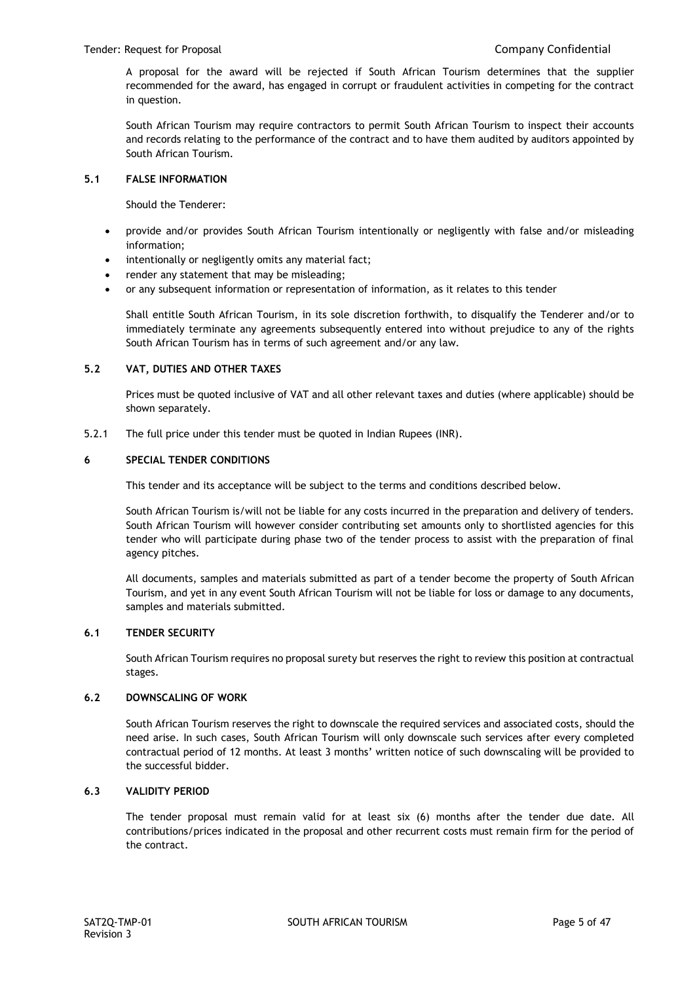A proposal for the award will be rejected if South African Tourism determines that the supplier recommended for the award, has engaged in corrupt or fraudulent activities in competing for the contract in question.

South African Tourism may require contractors to permit South African Tourism to inspect their accounts and records relating to the performance of the contract and to have them audited by auditors appointed by South African Tourism.

## **5.1 FALSE INFORMATION**

Should the Tenderer:

- provide and/or provides South African Tourism intentionally or negligently with false and/or misleading information;
- intentionally or negligently omits any material fact;
- render any statement that may be misleading;
- or any subsequent information or representation of information, as it relates to this tender

Shall entitle South African Tourism, in its sole discretion forthwith, to disqualify the Tenderer and/or to immediately terminate any agreements subsequently entered into without prejudice to any of the rights South African Tourism has in terms of such agreement and/or any law.

## **5.2 VAT, DUTIES AND OTHER TAXES**

Prices must be quoted inclusive of VAT and all other relevant taxes and duties (where applicable) should be shown separately.

5.2.1 The full price under this tender must be quoted in Indian Rupees (INR).

## **6 SPECIAL TENDER CONDITIONS**

This tender and its acceptance will be subject to the terms and conditions described below.

South African Tourism is/will not be liable for any costs incurred in the preparation and delivery of tenders. South African Tourism will however consider contributing set amounts only to shortlisted agencies for this tender who will participate during phase two of the tender process to assist with the preparation of final agency pitches.

All documents, samples and materials submitted as part of a tender become the property of South African Tourism, and yet in any event South African Tourism will not be liable for loss or damage to any documents, samples and materials submitted.

## **6.1 TENDER SECURITY**

South African Tourism requires no proposal surety but reserves the right to review this position at contractual stages.

## **6.2 DOWNSCALING OF WORK**

South African Tourism reserves the right to downscale the required services and associated costs, should the need arise. In such cases, South African Tourism will only downscale such services after every completed contractual period of 12 months. At least 3 months' written notice of such downscaling will be provided to the successful bidder.

## **6.3 VALIDITY PERIOD**

The tender proposal must remain valid for at least six (6) months after the tender due date. All contributions/prices indicated in the proposal and other recurrent costs must remain firm for the period of the contract.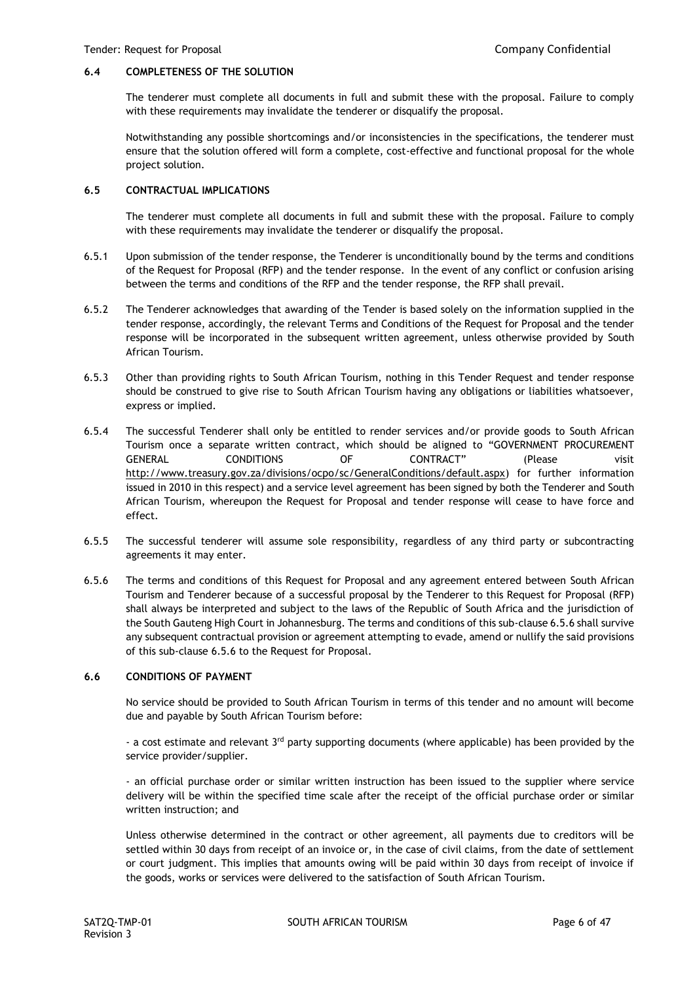## **6.4 COMPLETENESS OF THE SOLUTION**

The tenderer must complete all documents in full and submit these with the proposal. Failure to comply with these requirements may invalidate the tenderer or disqualify the proposal.

Notwithstanding any possible shortcomings and/or inconsistencies in the specifications, the tenderer must ensure that the solution offered will form a complete, cost-effective and functional proposal for the whole project solution.

## **6.5 CONTRACTUAL IMPLICATIONS**

The tenderer must complete all documents in full and submit these with the proposal. Failure to comply with these requirements may invalidate the tenderer or disqualify the proposal.

- 6.5.1 Upon submission of the tender response, the Tenderer is unconditionally bound by the terms and conditions of the Request for Proposal (RFP) and the tender response. In the event of any conflict or confusion arising between the terms and conditions of the RFP and the tender response, the RFP shall prevail.
- 6.5.2 The Tenderer acknowledges that awarding of the Tender is based solely on the information supplied in the tender response, accordingly, the relevant Terms and Conditions of the Request for Proposal and the tender response will be incorporated in the subsequent written agreement, unless otherwise provided by South African Tourism.
- 6.5.3 Other than providing rights to South African Tourism, nothing in this Tender Request and tender response should be construed to give rise to South African Tourism having any obligations or liabilities whatsoever, express or implied.
- 6.5.4 The successful Tenderer shall only be entitled to render services and/or provide goods to South African Tourism once a separate written contract, which should be aligned to "GOVERNMENT PROCUREMENT GENERAL CONDITIONS OF CONTRACT" (Please visit [http://www.treasury.gov.za/divisions/ocpo/sc/GeneralConditions/default.aspx\)](http://www.treasury.gov.za/divisions/ocpo/sc/GeneralConditions/default.aspx) for further information issued in 2010 in this respect) and a service level agreement has been signed by both the Tenderer and South African Tourism, whereupon the Request for Proposal and tender response will cease to have force and effect.
- 6.5.5 The successful tenderer will assume sole responsibility, regardless of any third party or subcontracting agreements it may enter.
- 6.5.6 The terms and conditions of this Request for Proposal and any agreement entered between South African Tourism and Tenderer because of a successful proposal by the Tenderer to this Request for Proposal (RFP) shall always be interpreted and subject to the laws of the Republic of South Africa and the jurisdiction of the South Gauteng High Court in Johannesburg. The terms and conditions of this sub-clause 6.5.6 shall survive any subsequent contractual provision or agreement attempting to evade, amend or nullify the said provisions of this sub-clause 6.5.6 to the Request for Proposal.

#### **6.6 CONDITIONS OF PAYMENT**

No service should be provided to South African Tourism in terms of this tender and no amount will become due and payable by South African Tourism before:

- a cost estimate and relevant  $3<sup>rd</sup>$  party supporting documents (where applicable) has been provided by the service provider/supplier.

- an official purchase order or similar written instruction has been issued to the supplier where service delivery will be within the specified time scale after the receipt of the official purchase order or similar written instruction; and

Unless otherwise determined in the contract or other agreement, all payments due to creditors will be settled within 30 days from receipt of an invoice or, in the case of civil claims, from the date of settlement or court judgment. This implies that amounts owing will be paid within 30 days from receipt of invoice if the goods, works or services were delivered to the satisfaction of South African Tourism.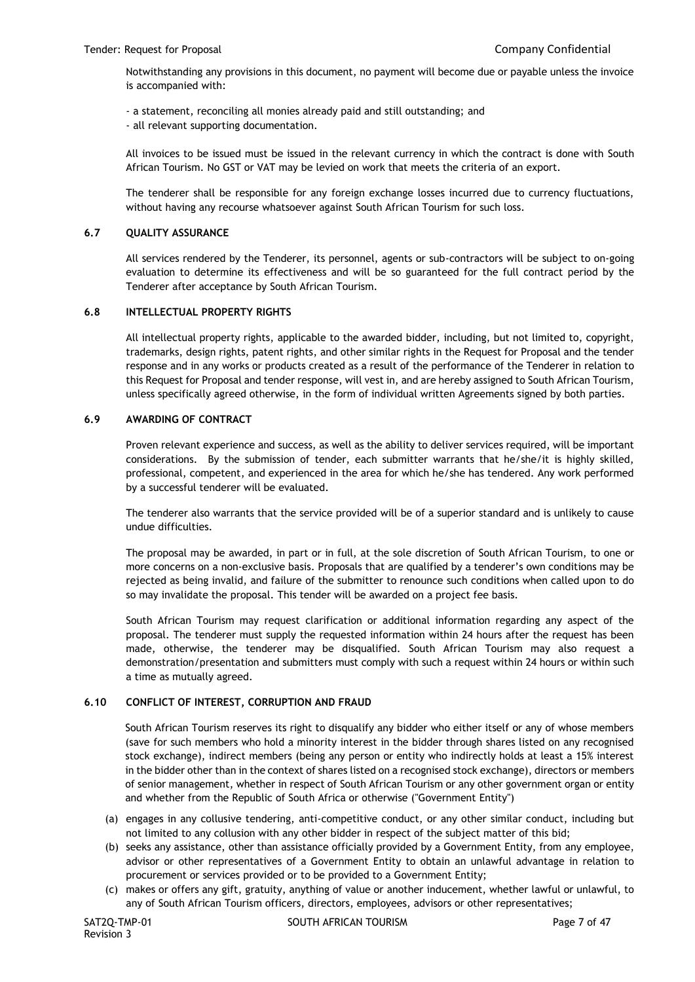Notwithstanding any provisions in this document, no payment will become due or payable unless the invoice is accompanied with:

- a statement, reconciling all monies already paid and still outstanding; and

- all relevant supporting documentation.

All invoices to be issued must be issued in the relevant currency in which the contract is done with South African Tourism. No GST or VAT may be levied on work that meets the criteria of an export.

The tenderer shall be responsible for any foreign exchange losses incurred due to currency fluctuations, without having any recourse whatsoever against South African Tourism for such loss.

## **6.7 QUALITY ASSURANCE**

All services rendered by the Tenderer, its personnel, agents or sub-contractors will be subject to on-going evaluation to determine its effectiveness and will be so guaranteed for the full contract period by the Tenderer after acceptance by South African Tourism.

## **6.8 INTELLECTUAL PROPERTY RIGHTS**

All intellectual property rights, applicable to the awarded bidder, including, but not limited to, copyright, trademarks, design rights, patent rights, and other similar rights in the Request for Proposal and the tender response and in any works or products created as a result of the performance of the Tenderer in relation to this Request for Proposal and tender response, will vest in, and are hereby assigned to South African Tourism, unless specifically agreed otherwise, in the form of individual written Agreements signed by both parties.

## **6.9 AWARDING OF CONTRACT**

Proven relevant experience and success, as well as the ability to deliver services required, will be important considerations. By the submission of tender, each submitter warrants that he/she/it is highly skilled, professional, competent, and experienced in the area for which he/she has tendered. Any work performed by a successful tenderer will be evaluated.

The tenderer also warrants that the service provided will be of a superior standard and is unlikely to cause undue difficulties.

The proposal may be awarded, in part or in full, at the sole discretion of South African Tourism, to one or more concerns on a non-exclusive basis. Proposals that are qualified by a tenderer's own conditions may be rejected as being invalid, and failure of the submitter to renounce such conditions when called upon to do so may invalidate the proposal. This tender will be awarded on a project fee basis.

South African Tourism may request clarification or additional information regarding any aspect of the proposal. The tenderer must supply the requested information within 24 hours after the request has been made, otherwise, the tenderer may be disqualified. South African Tourism may also request a demonstration/presentation and submitters must comply with such a request within 24 hours or within such a time as mutually agreed.

## **6.10 CONFLICT OF INTEREST, CORRUPTION AND FRAUD**

South African Tourism reserves its right to disqualify any bidder who either itself or any of whose members (save for such members who hold a minority interest in the bidder through shares listed on any recognised stock exchange), indirect members (being any person or entity who indirectly holds at least a 15% interest in the bidder other than in the context of shares listed on a recognised stock exchange), directors or members of senior management, whether in respect of South African Tourism or any other government organ or entity and whether from the Republic of South Africa or otherwise ("Government Entity")

- (a) engages in any collusive tendering, anti-competitive conduct, or any other similar conduct, including but not limited to any collusion with any other bidder in respect of the subject matter of this bid;
- (b) seeks any assistance, other than assistance officially provided by a Government Entity, from any employee, advisor or other representatives of a Government Entity to obtain an unlawful advantage in relation to procurement or services provided or to be provided to a Government Entity;
- (c) makes or offers any gift, gratuity, anything of value or another inducement, whether lawful or unlawful, to any of South African Tourism officers, directors, employees, advisors or other representatives;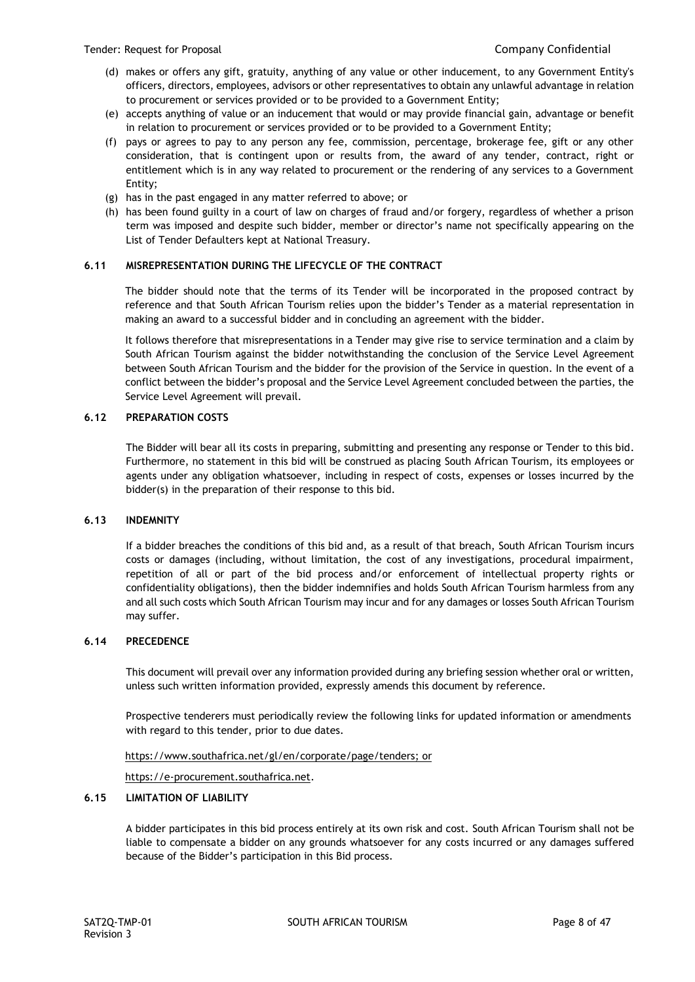- (d) makes or offers any gift, gratuity, anything of any value or other inducement, to any Government Entity's officers, directors, employees, advisors or other representatives to obtain any unlawful advantage in relation to procurement or services provided or to be provided to a Government Entity;
- (e) accepts anything of value or an inducement that would or may provide financial gain, advantage or benefit in relation to procurement or services provided or to be provided to a Government Entity;
- (f) pays or agrees to pay to any person any fee, commission, percentage, brokerage fee, gift or any other consideration, that is contingent upon or results from, the award of any tender, contract, right or entitlement which is in any way related to procurement or the rendering of any services to a Government Entity;
- (g) has in the past engaged in any matter referred to above; or
- (h) has been found guilty in a court of law on charges of fraud and/or forgery, regardless of whether a prison term was imposed and despite such bidder, member or director's name not specifically appearing on the List of Tender Defaulters kept at National Treasury.

## **6.11 MISREPRESENTATION DURING THE LIFECYCLE OF THE CONTRACT**

The bidder should note that the terms of its Tender will be incorporated in the proposed contract by reference and that South African Tourism relies upon the bidder's Tender as a material representation in making an award to a successful bidder and in concluding an agreement with the bidder.

It follows therefore that misrepresentations in a Tender may give rise to service termination and a claim by South African Tourism against the bidder notwithstanding the conclusion of the Service Level Agreement between South African Tourism and the bidder for the provision of the Service in question. In the event of a conflict between the bidder's proposal and the Service Level Agreement concluded between the parties, the Service Level Agreement will prevail.

## **6.12 PREPARATION COSTS**

The Bidder will bear all its costs in preparing, submitting and presenting any response or Tender to this bid. Furthermore, no statement in this bid will be construed as placing South African Tourism, its employees or agents under any obligation whatsoever, including in respect of costs, expenses or losses incurred by the bidder(s) in the preparation of their response to this bid.

## **6.13 INDEMNITY**

If a bidder breaches the conditions of this bid and, as a result of that breach, South African Tourism incurs costs or damages (including, without limitation, the cost of any investigations, procedural impairment, repetition of all or part of the bid process and/or enforcement of intellectual property rights or confidentiality obligations), then the bidder indemnifies and holds South African Tourism harmless from any and all such costs which South African Tourism may incur and for any damages or losses South African Tourism may suffer.

## **6.14 PRECEDENCE**

This document will prevail over any information provided during any briefing session whether oral or written, unless such written information provided, expressly amends this document by reference.

Prospective tenderers must periodically review the following links for updated information or amendments with regard to this tender, prior to due dates.

## [https://www.southafrica.net/gl/en/corporate/page/tenders;](https://www.southafrica.net/gl/en/corporate/page/tenders) or

[https://e-procurement.southafrica.net.](https://e-procurement.southafrica.net/)

## **6.15 LIMITATION OF LIABILITY**

A bidder participates in this bid process entirely at its own risk and cost. South African Tourism shall not be liable to compensate a bidder on any grounds whatsoever for any costs incurred or any damages suffered because of the Bidder's participation in this Bid process.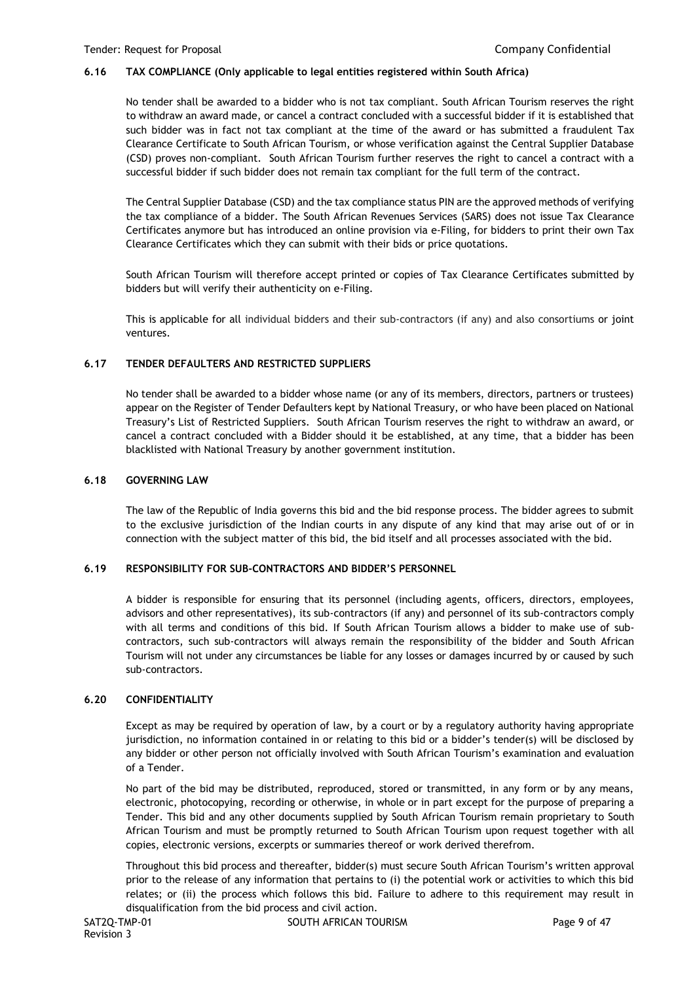## **6.16 TAX COMPLIANCE (Only applicable to legal entities registered within South Africa)**

No tender shall be awarded to a bidder who is not tax compliant. South African Tourism reserves the right to withdraw an award made, or cancel a contract concluded with a successful bidder if it is established that such bidder was in fact not tax compliant at the time of the award or has submitted a fraudulent Tax Clearance Certificate to South African Tourism, or whose verification against the Central Supplier Database (CSD) proves non-compliant. South African Tourism further reserves the right to cancel a contract with a successful bidder if such bidder does not remain tax compliant for the full term of the contract.

The Central Supplier Database (CSD) and the tax compliance status PIN are the approved methods of verifying the tax compliance of a bidder. The South African Revenues Services (SARS) does not issue Tax Clearance Certificates anymore but has introduced an online provision via e-Filing, for bidders to print their own Tax Clearance Certificates which they can submit with their bids or price quotations.

South African Tourism will therefore accept printed or copies of Tax Clearance Certificates submitted by bidders but will verify their authenticity on e-Filing.

This is applicable for all individual bidders and their sub-contractors (if any) and also consortiums or joint ventures.

## **6.17 TENDER DEFAULTERS AND RESTRICTED SUPPLIERS**

No tender shall be awarded to a bidder whose name (or any of its members, directors, partners or trustees) appear on the Register of Tender Defaulters kept by National Treasury, or who have been placed on National Treasury's List of Restricted Suppliers. South African Tourism reserves the right to withdraw an award, or cancel a contract concluded with a Bidder should it be established, at any time, that a bidder has been blacklisted with National Treasury by another government institution.

## **6.18 GOVERNING LAW**

The law of the Republic of India governs this bid and the bid response process. The bidder agrees to submit to the exclusive jurisdiction of the Indian courts in any dispute of any kind that may arise out of or in connection with the subject matter of this bid, the bid itself and all processes associated with the bid.

## **6.19 RESPONSIBILITY FOR SUB-CONTRACTORS AND BIDDER'S PERSONNEL**

A bidder is responsible for ensuring that its personnel (including agents, officers, directors, employees, advisors and other representatives), its sub-contractors (if any) and personnel of its sub-contractors comply with all terms and conditions of this bid. If South African Tourism allows a bidder to make use of subcontractors, such sub-contractors will always remain the responsibility of the bidder and South African Tourism will not under any circumstances be liable for any losses or damages incurred by or caused by such sub-contractors.

## **6.20 CONFIDENTIALITY**

Except as may be required by operation of law, by a court or by a regulatory authority having appropriate jurisdiction, no information contained in or relating to this bid or a bidder's tender(s) will be disclosed by any bidder or other person not officially involved with South African Tourism's examination and evaluation of a Tender.

No part of the bid may be distributed, reproduced, stored or transmitted, in any form or by any means, electronic, photocopying, recording or otherwise, in whole or in part except for the purpose of preparing a Tender. This bid and any other documents supplied by South African Tourism remain proprietary to South African Tourism and must be promptly returned to South African Tourism upon request together with all copies, electronic versions, excerpts or summaries thereof or work derived therefrom.

Throughout this bid process and thereafter, bidder(s) must secure South African Tourism's written approval prior to the release of any information that pertains to (i) the potential work or activities to which this bid relates; or (ii) the process which follows this bid. Failure to adhere to this requirement may result in disqualification from the bid process and civil action.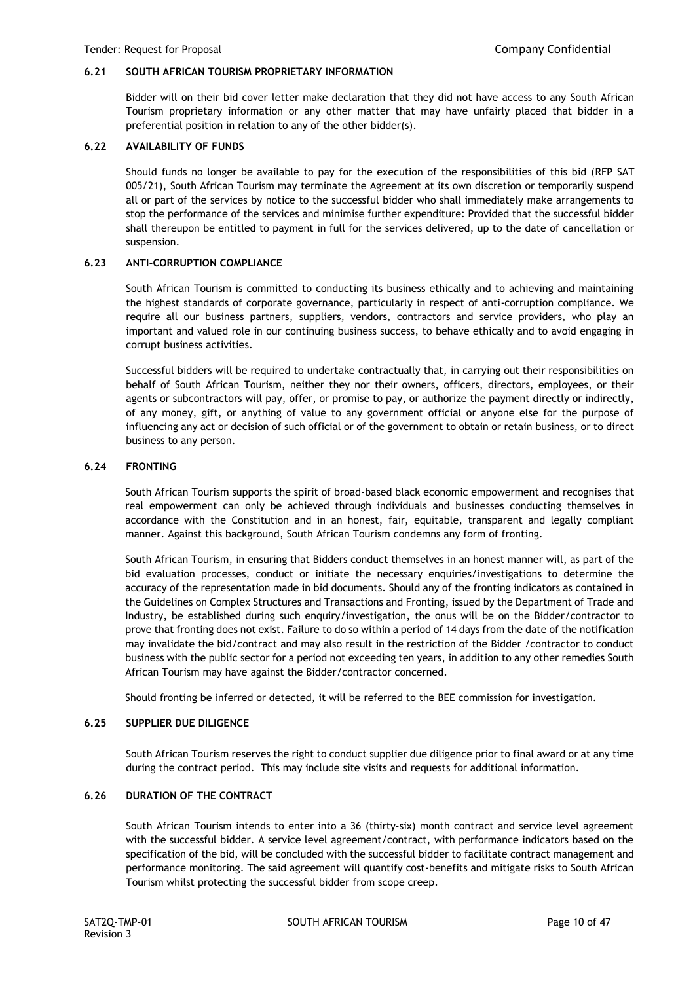## **6.21 SOUTH AFRICAN TOURISM PROPRIETARY INFORMATION**

Bidder will on their bid cover letter make declaration that they did not have access to any South African Tourism proprietary information or any other matter that may have unfairly placed that bidder in a preferential position in relation to any of the other bidder(s).

## **6.22 AVAILABILITY OF FUNDS**

Should funds no longer be available to pay for the execution of the responsibilities of this bid (RFP SAT 005/21), South African Tourism may terminate the Agreement at its own discretion or temporarily suspend all or part of the services by notice to the successful bidder who shall immediately make arrangements to stop the performance of the services and minimise further expenditure: Provided that the successful bidder shall thereupon be entitled to payment in full for the services delivered, up to the date of cancellation or suspension.

## **6.23 ANTI-CORRUPTION COMPLIANCE**

South African Tourism is committed to conducting its business ethically and to achieving and maintaining the highest standards of corporate governance, particularly in respect of anti-corruption compliance. We require all our business partners, suppliers, vendors, contractors and service providers, who play an important and valued role in our continuing business success, to behave ethically and to avoid engaging in corrupt business activities.

Successful bidders will be required to undertake contractually that, in carrying out their responsibilities on behalf of South African Tourism, neither they nor their owners, officers, directors, employees, or their agents or subcontractors will pay, offer, or promise to pay, or authorize the payment directly or indirectly, of any money, gift, or anything of value to any government official or anyone else for the purpose of influencing any act or decision of such official or of the government to obtain or retain business, or to direct business to any person.

## **6.24 FRONTING**

South African Tourism supports the spirit of broad-based black economic empowerment and recognises that real empowerment can only be achieved through individuals and businesses conducting themselves in accordance with the Constitution and in an honest, fair, equitable, transparent and legally compliant manner. Against this background, South African Tourism condemns any form of fronting.

South African Tourism, in ensuring that Bidders conduct themselves in an honest manner will, as part of the bid evaluation processes, conduct or initiate the necessary enquiries/investigations to determine the accuracy of the representation made in bid documents. Should any of the fronting indicators as contained in the Guidelines on Complex Structures and Transactions and Fronting, issued by the Department of Trade and Industry, be established during such enquiry/investigation, the onus will be on the Bidder/contractor to prove that fronting does not exist. Failure to do so within a period of 14 days from the date of the notification may invalidate the bid/contract and may also result in the restriction of the Bidder /contractor to conduct business with the public sector for a period not exceeding ten years, in addition to any other remedies South African Tourism may have against the Bidder/contractor concerned.

Should fronting be inferred or detected, it will be referred to the BEE commission for investigation.

#### **6.25 SUPPLIER DUE DILIGENCE**

South African Tourism reserves the right to conduct supplier due diligence prior to final award or at any time during the contract period. This may include site visits and requests for additional information.

#### **6.26 DURATION OF THE CONTRACT**

South African Tourism intends to enter into a 36 (thirty-six) month contract and service level agreement with the successful bidder. A service level agreement/contract, with performance indicators based on the specification of the bid, will be concluded with the successful bidder to facilitate contract management and performance monitoring. The said agreement will quantify cost-benefits and mitigate risks to South African Tourism whilst protecting the successful bidder from scope creep.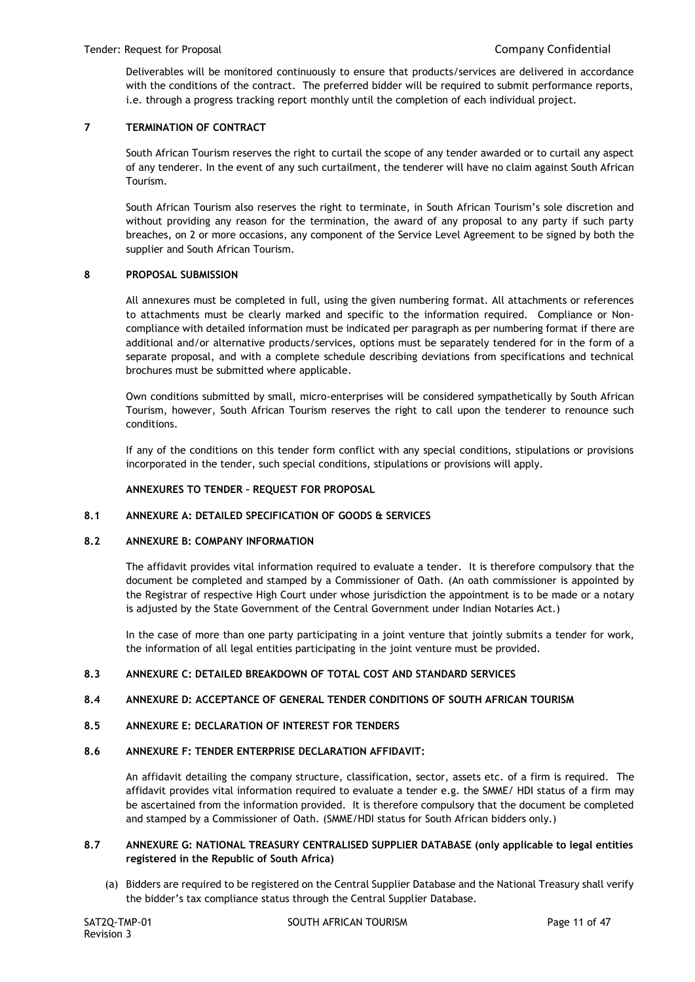Deliverables will be monitored continuously to ensure that products/services are delivered in accordance with the conditions of the contract. The preferred bidder will be required to submit performance reports, i.e. through a progress tracking report monthly until the completion of each individual project.

## **7 TERMINATION OF CONTRACT**

South African Tourism reserves the right to curtail the scope of any tender awarded or to curtail any aspect of any tenderer. In the event of any such curtailment, the tenderer will have no claim against South African Tourism.

South African Tourism also reserves the right to terminate, in South African Tourism's sole discretion and without providing any reason for the termination, the award of any proposal to any party if such party breaches, on 2 or more occasions, any component of the Service Level Agreement to be signed by both the supplier and South African Tourism.

## **8 PROPOSAL SUBMISSION**

All annexures must be completed in full, using the given numbering format. All attachments or references to attachments must be clearly marked and specific to the information required. Compliance or Noncompliance with detailed information must be indicated per paragraph as per numbering format if there are additional and/or alternative products/services, options must be separately tendered for in the form of a separate proposal, and with a complete schedule describing deviations from specifications and technical brochures must be submitted where applicable.

Own conditions submitted by small, micro-enterprises will be considered sympathetically by South African Tourism, however, South African Tourism reserves the right to call upon the tenderer to renounce such conditions.

If any of the conditions on this tender form conflict with any special conditions, stipulations or provisions incorporated in the tender, such special conditions, stipulations or provisions will apply.

## **ANNEXURES TO TENDER – REQUEST FOR PROPOSAL**

#### **8.1 ANNEXURE A: DETAILED SPECIFICATION OF GOODS & SERVICES**

#### **8.2 ANNEXURE B: COMPANY INFORMATION**

The affidavit provides vital information required to evaluate a tender. It is therefore compulsory that the document be completed and stamped by a Commissioner of Oath. (An oath commissioner is appointed by the Registrar of respective High Court under whose jurisdiction the appointment is to be made or a notary is adjusted by the State Government of the Central Government under Indian Notaries Act.)

In the case of more than one party participating in a joint venture that jointly submits a tender for work, the information of all legal entities participating in the joint venture must be provided.

#### **8.3 ANNEXURE C: DETAILED BREAKDOWN OF TOTAL COST AND STANDARD SERVICES**

## **8.4 ANNEXURE D: ACCEPTANCE OF GENERAL TENDER CONDITIONS OF SOUTH AFRICAN TOURISM**

## **8.5 ANNEXURE E: DECLARATION OF INTEREST FOR TENDERS**

#### **8.6 ANNEXURE F: TENDER ENTERPRISE DECLARATION AFFIDAVIT:**

An affidavit detailing the company structure, classification, sector, assets etc. of a firm is required. The affidavit provides vital information required to evaluate a tender e.g. the SMME/ HDI status of a firm may be ascertained from the information provided. It is therefore compulsory that the document be completed and stamped by a Commissioner of Oath. (SMME/HDI status for South African bidders only.)

## **8.7 ANNEXURE G: NATIONAL TREASURY CENTRALISED SUPPLIER DATABASE (only applicable to legal entities registered in the Republic of South Africa)**

(a) Bidders are required to be registered on the Central Supplier Database and the National Treasury shall verify the bidder's tax compliance status through the Central Supplier Database.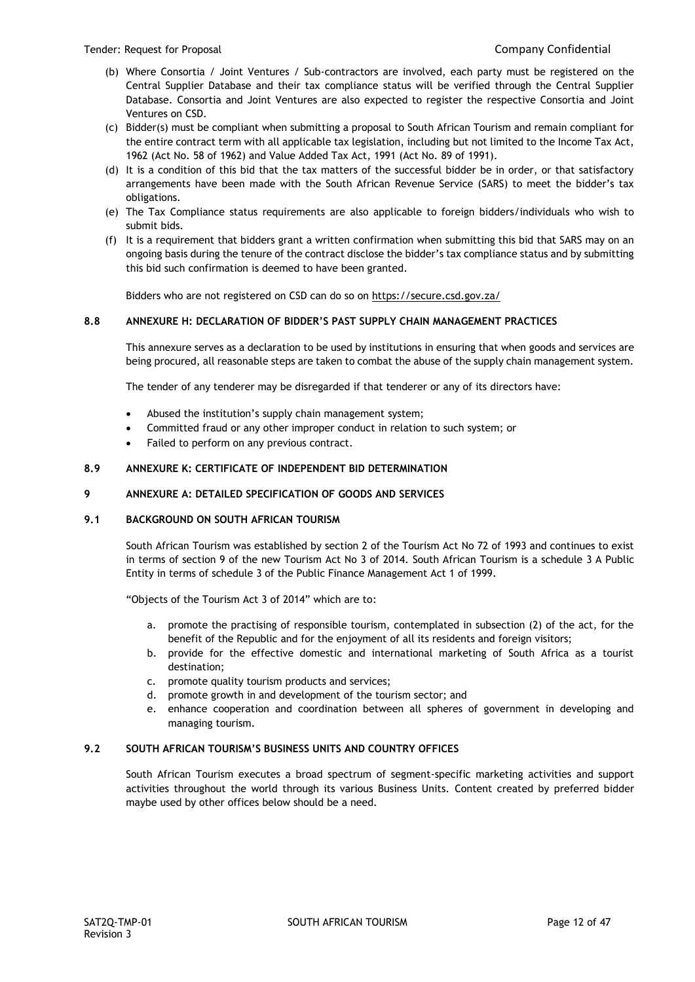- (b) Where Consortia / Joint Ventures / Sub-contractors are involved, each party must be registered on the Central Supplier Database and their tax compliance status will be verified through the Central Supplier Database. Consortia and Joint Ventures are also expected to register the respective Consortia and Joint Ventures on CSD.
- (c) Bidder(s) must be compliant when submitting a proposal to South African Tourism and remain compliant for the entire contract term with all applicable tax legislation, including but not limited to the Income Tax Act, 1962 (Act No. 58 of 1962) and Value Added Tax Act, 1991 (Act No. 89 of 1991).
- (d) It is a condition of this bid that the tax matters of the successful bidder be in order, or that satisfactory arrangements have been made with the South African Revenue Service (SARS) to meet the bidder's tax obligations.
- (e) The Tax Compliance status requirements are also applicable to foreign bidders/individuals who wish to submit bids.
- (f) It is a requirement that bidders grant a written confirmation when submitting this bid that SARS may on an ongoing basis during the tenure of the contract disclose the bidder's tax compliance status and by submitting this bid such confirmation is deemed to have been granted.

Bidders who are not registered on CSD can do so o[n https://secure.csd.gov.za/](https://secure.csd.gov.za/)

## **8.8 ANNEXURE H: DECLARATION OF BIDDER'S PAST SUPPLY CHAIN MANAGEMENT PRACTICES**

This annexure serves as a declaration to be used by institutions in ensuring that when goods and services are being procured, all reasonable steps are taken to combat the abuse of the supply chain management system.

The tender of any tenderer may be disregarded if that tenderer or any of its directors have:

- Abused the institution's supply chain management system;
- Committed fraud or any other improper conduct in relation to such system; or
- Failed to perform on any previous contract.

## **8.9 ANNEXURE K: CERTIFICATE OF INDEPENDENT BID DETERMINATION**

#### **9 ANNEXURE A: DETAILED SPECIFICATION OF GOODS AND SERVICES**

#### **9.1 BACKGROUND ON SOUTH AFRICAN TOURISM**

South African Tourism was established by section 2 of the Tourism Act No 72 of 1993 and continues to exist in terms of section 9 of the new Tourism Act No 3 of 2014. South African Tourism is a schedule 3 A Public Entity in terms of schedule 3 of the Public Finance Management Act 1 of 1999.

"Objects of the Tourism Act 3 of 2014" which are to:

- a. promote the practising of responsible tourism, contemplated in subsection (2) of the act, for the benefit of the Republic and for the enjoyment of all its residents and foreign visitors;
- b. provide for the effective domestic and international marketing of South Africa as a tourist destination;
- c. promote quality tourism products and services;
- d. promote growth in and development of the tourism sector; and
- e. enhance cooperation and coordination between all spheres of government in developing and managing tourism.

#### **9.2 SOUTH AFRICAN TOURISM'S BUSINESS UNITS AND COUNTRY OFFICES**

South African Tourism executes a broad spectrum of segment-specific marketing activities and support activities throughout the world through its various Business Units. Content created by preferred bidder maybe used by other offices below should be a need.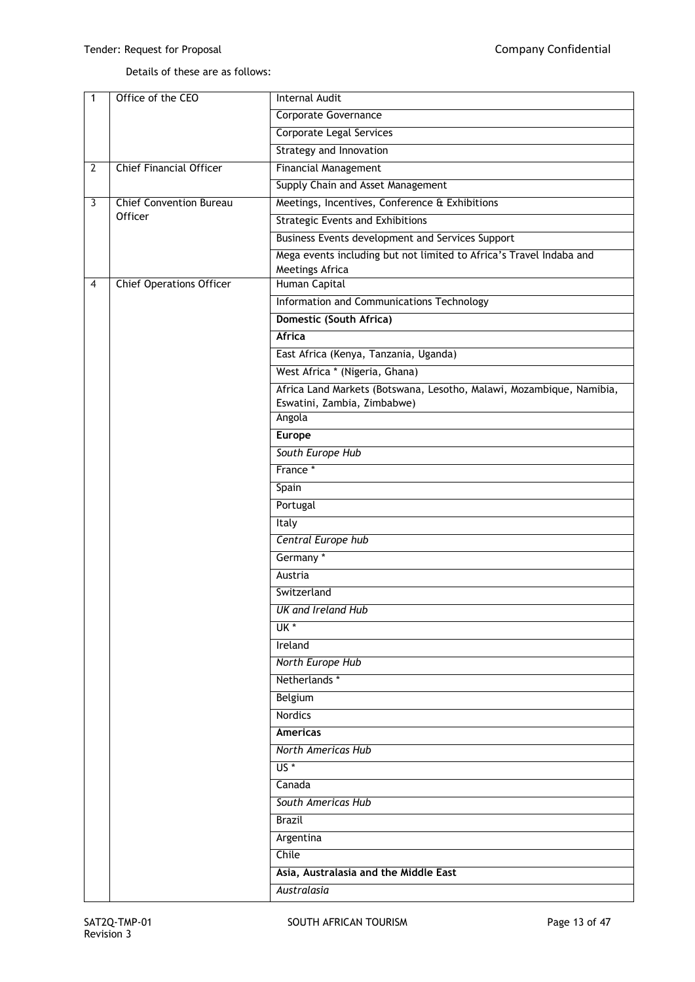# Details of these are as follows:

| 1              | Office of the CEO               | <b>Internal Audit</b>                                                |  |
|----------------|---------------------------------|----------------------------------------------------------------------|--|
|                |                                 | <b>Corporate Governance</b>                                          |  |
|                |                                 | <b>Corporate Legal Services</b>                                      |  |
|                |                                 | Strategy and Innovation                                              |  |
| $\overline{2}$ | <b>Chief Financial Officer</b>  | <b>Financial Management</b>                                          |  |
|                |                                 | Supply Chain and Asset Management                                    |  |
| 3              | <b>Chief Convention Bureau</b>  | Meetings, Incentives, Conference & Exhibitions                       |  |
|                | Officer                         | <b>Strategic Events and Exhibitions</b>                              |  |
|                |                                 | Business Events development and Services Support                     |  |
|                |                                 | Mega events including but not limited to Africa's Travel Indaba and  |  |
|                |                                 | Meetings Africa                                                      |  |
| 4              | <b>Chief Operations Officer</b> | Human Capital                                                        |  |
|                |                                 | Information and Communications Technology                            |  |
|                |                                 | Domestic (South Africa)                                              |  |
|                |                                 | Africa                                                               |  |
|                |                                 | East Africa (Kenya, Tanzania, Uganda)                                |  |
|                |                                 | West Africa * (Nigeria, Ghana)                                       |  |
|                |                                 | Africa Land Markets (Botswana, Lesotho, Malawi, Mozambique, Namibia, |  |
|                |                                 | Eswatini, Zambia, Zimbabwe)                                          |  |
|                |                                 | Angola                                                               |  |
|                |                                 | <b>Europe</b>                                                        |  |
|                |                                 | South Europe Hub                                                     |  |
|                |                                 | France *                                                             |  |
|                |                                 | Spain                                                                |  |
|                |                                 | Portugal                                                             |  |
|                |                                 | Italy                                                                |  |
|                |                                 | Central Europe hub                                                   |  |
|                |                                 | Germany *                                                            |  |
|                |                                 | Austria                                                              |  |
|                |                                 | Switzerland                                                          |  |
|                |                                 | <b>UK and Ireland Hub</b>                                            |  |
|                |                                 | $UK*$                                                                |  |
|                |                                 | Ireland                                                              |  |
|                |                                 | <b>North Europe Hub</b>                                              |  |
|                |                                 | Netherlands*                                                         |  |
|                |                                 |                                                                      |  |
|                |                                 | Belgium<br>Nordics                                                   |  |
|                |                                 |                                                                      |  |
|                |                                 | <b>Americas</b>                                                      |  |
|                |                                 | North Americas Hub                                                   |  |
|                |                                 | $US^*$                                                               |  |
|                |                                 | Canada                                                               |  |
|                |                                 | South Americas Hub                                                   |  |
|                |                                 | <b>Brazil</b>                                                        |  |
|                |                                 | Argentina                                                            |  |
|                |                                 | Chile                                                                |  |
|                |                                 | Asia, Australasia and the Middle East                                |  |
|                |                                 | Australasia                                                          |  |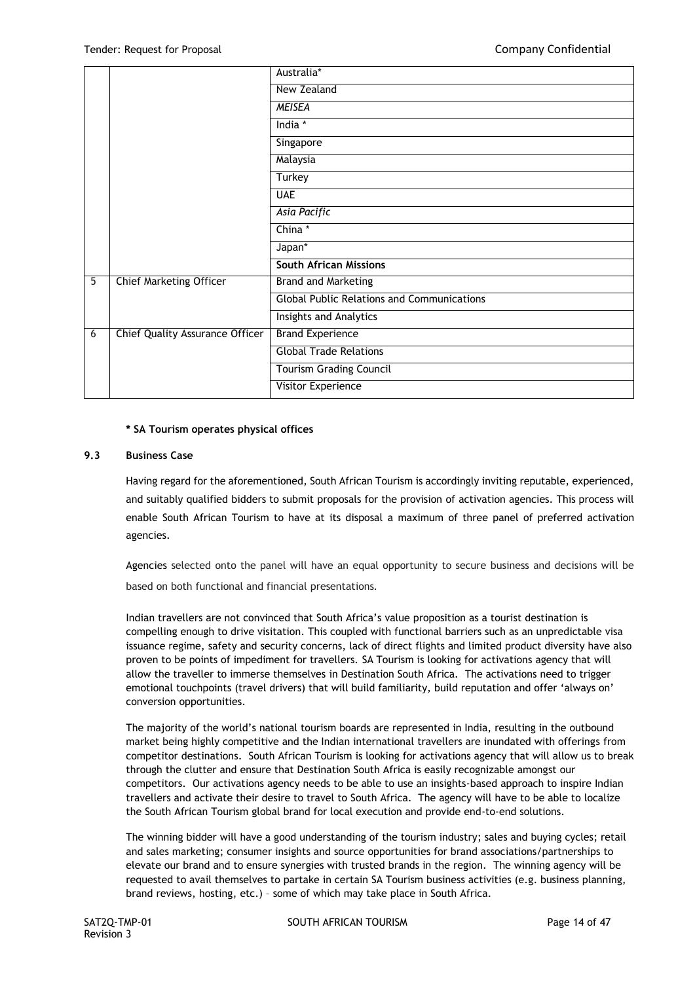|   |                                 | Australia*                                        |
|---|---------------------------------|---------------------------------------------------|
|   |                                 | New Zealand                                       |
|   |                                 | <b>MEISEA</b>                                     |
|   |                                 | India *                                           |
|   |                                 | Singapore                                         |
|   |                                 | Malaysia                                          |
|   |                                 | Turkey                                            |
|   |                                 | <b>UAE</b>                                        |
|   |                                 | Asia Pacific                                      |
|   |                                 | China*                                            |
|   |                                 | Japan*                                            |
|   |                                 | <b>South African Missions</b>                     |
| 5 | <b>Chief Marketing Officer</b>  | <b>Brand and Marketing</b>                        |
|   |                                 | <b>Global Public Relations and Communications</b> |
|   |                                 | Insights and Analytics                            |
| 6 | Chief Quality Assurance Officer | <b>Brand Experience</b>                           |
|   |                                 | <b>Global Trade Relations</b>                     |
|   |                                 | <b>Tourism Grading Council</b>                    |
|   |                                 | <b>Visitor Experience</b>                         |

## **\* SA Tourism operates physical offices**

## **9.3 Business Case**

Having regard for the aforementioned, South African Tourism is accordingly inviting reputable, experienced, and suitably qualified bidders to submit proposals for the provision of activation agencies. This process will enable South African Tourism to have at its disposal a maximum of three panel of preferred activation agencies.

Agencies selected onto the panel will have an equal opportunity to secure business and decisions will be based on both functional and financial presentations*.*

Indian travellers are not convinced that South Africa's value proposition as a tourist destination is compelling enough to drive visitation. This coupled with functional barriers such as an unpredictable visa issuance regime, safety and security concerns, lack of direct flights and limited product diversity have also proven to be points of impediment for travellers. SA Tourism is looking for activations agency that will allow the traveller to immerse themselves in Destination South Africa. The activations need to trigger emotional touchpoints (travel drivers) that will build familiarity, build reputation and offer 'always on' conversion opportunities.

The majority of the world's national tourism boards are represented in India, resulting in the outbound market being highly competitive and the Indian international travellers are inundated with offerings from competitor destinations. South African Tourism is looking for activations agency that will allow us to break through the clutter and ensure that Destination South Africa is easily recognizable amongst our competitors. Our activations agency needs to be able to use an insights-based approach to inspire Indian travellers and activate their desire to travel to South Africa. The agency will have to be able to localize the South African Tourism global brand for local execution and provide end-to-end solutions.

The winning bidder will have a good understanding of the tourism industry; sales and buying cycles; retail and sales marketing; consumer insights and source opportunities for brand associations/partnerships to elevate our brand and to ensure synergies with trusted brands in the region. The winning agency will be requested to avail themselves to partake in certain SA Tourism business activities (e.g. business planning, brand reviews, hosting, etc.) – some of which may take place in South Africa.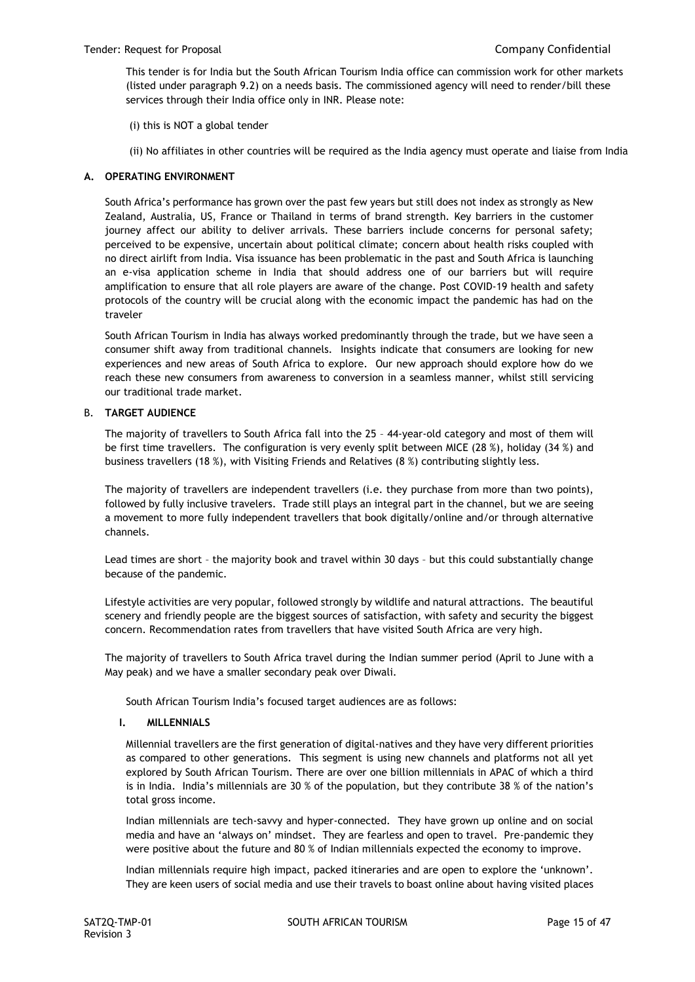This tender is for India but the South African Tourism India office can commission work for other markets (listed under paragraph 9.2) on a needs basis. The commissioned agency will need to render/bill these services through their India office only in INR. Please note:

- (i) this is NOT a global tender
- (ii) No affiliates in other countries will be required as the India agency must operate and liaise from India

## **A. OPERATING ENVIRONMENT**

South Africa's performance has grown over the past few years but still does not index as strongly as New Zealand, Australia, US, France or Thailand in terms of brand strength. Key barriers in the customer journey affect our ability to deliver arrivals. These barriers include concerns for personal safety; perceived to be expensive, uncertain about political climate; concern about health risks coupled with no direct airlift from India. Visa issuance has been problematic in the past and South Africa is launching an e-visa application scheme in India that should address one of our barriers but will require amplification to ensure that all role players are aware of the change. Post COVID-19 health and safety protocols of the country will be crucial along with the economic impact the pandemic has had on the traveler

South African Tourism in India has always worked predominantly through the trade, but we have seen a consumer shift away from traditional channels. Insights indicate that consumers are looking for new experiences and new areas of South Africa to explore. Our new approach should explore how do we reach these new consumers from awareness to conversion in a seamless manner, whilst still servicing our traditional trade market.

## B. **TARGET AUDIENCE**

The majority of travellers to South Africa fall into the 25 – 44-year-old category and most of them will be first time travellers. The configuration is very evenly split between MICE (28 %), holiday (34 %) and business travellers (18 %), with Visiting Friends and Relatives (8 %) contributing slightly less.

The majority of travellers are independent travellers (i.e. they purchase from more than two points), followed by fully inclusive travelers. Trade still plays an integral part in the channel, but we are seeing a movement to more fully independent travellers that book digitally/online and/or through alternative channels.

Lead times are short – the majority book and travel within 30 days – but this could substantially change because of the pandemic.

Lifestyle activities are very popular, followed strongly by wildlife and natural attractions. The beautiful scenery and friendly people are the biggest sources of satisfaction, with safety and security the biggest concern. Recommendation rates from travellers that have visited South Africa are very high.

The majority of travellers to South Africa travel during the Indian summer period (April to June with a May peak) and we have a smaller secondary peak over Diwali.

South African Tourism India's focused target audiences are as follows:

## **I. MILLENNIALS**

Millennial travellers are the first generation of digital-natives and they have very different priorities as compared to other generations. This segment is using new channels and platforms not all yet explored by South African Tourism. There are over one billion millennials in APAC of which a third is in India. India's millennials are 30 % of the population, but they contribute 38 % of the nation's total gross income.

Indian millennials are tech-savvy and hyper-connected. They have grown up online and on social media and have an 'always on' mindset. They are fearless and open to travel. Pre-pandemic they were positive about the future and 80 % of Indian millennials expected the economy to improve.

Indian millennials require high impact, packed itineraries and are open to explore the 'unknown'. They are keen users of social media and use their travels to boast online about having visited places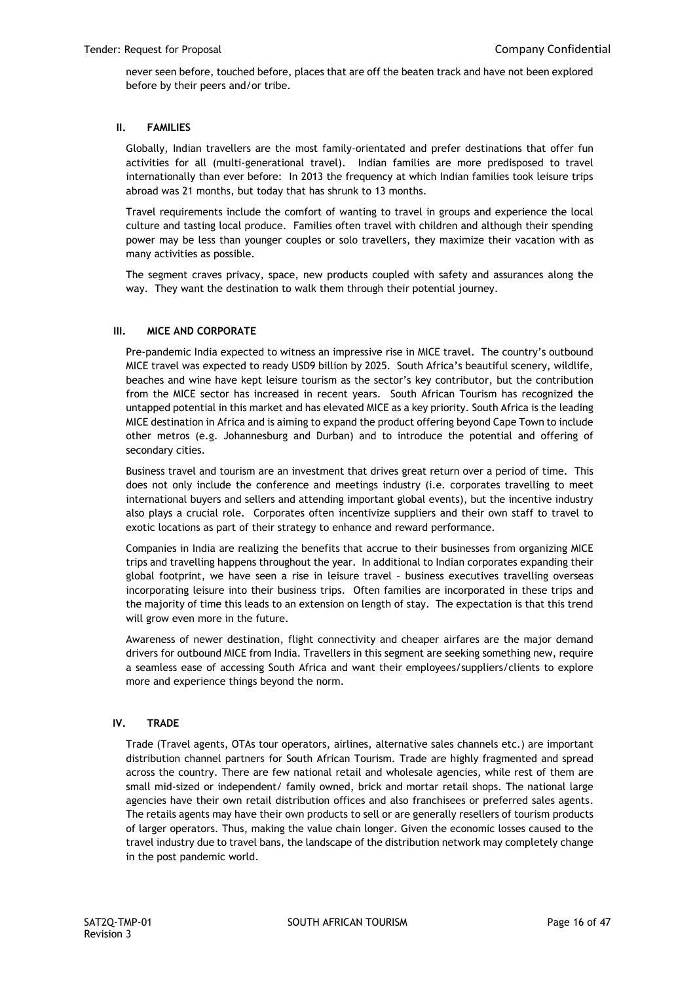never seen before, touched before, places that are off the beaten track and have not been explored before by their peers and/or tribe.

## **II. FAMILIES**

Globally, Indian travellers are the most family-orientated and prefer destinations that offer fun activities for all (multi-generational travel). Indian families are more predisposed to travel internationally than ever before: In 2013 the frequency at which Indian families took leisure trips abroad was 21 months, but today that has shrunk to 13 months.

Travel requirements include the comfort of wanting to travel in groups and experience the local culture and tasting local produce. Families often travel with children and although their spending power may be less than younger couples or solo travellers, they maximize their vacation with as many activities as possible.

The segment craves privacy, space, new products coupled with safety and assurances along the way. They want the destination to walk them through their potential journey.

## **III. MICE AND CORPORATE**

Pre-pandemic India expected to witness an impressive rise in MICE travel. The country's outbound MICE travel was expected to ready USD9 billion by 2025. South Africa's beautiful scenery, wildlife, beaches and wine have kept leisure tourism as the sector's key contributor, but the contribution from the MICE sector has increased in recent years. South African Tourism has recognized the untapped potential in this market and has elevated MICE as a key priority. South Africa is the leading MICE destination in Africa and is aiming to expand the product offering beyond Cape Town to include other metros (e.g. Johannesburg and Durban) and to introduce the potential and offering of secondary cities.

Business travel and tourism are an investment that drives great return over a period of time. This does not only include the conference and meetings industry (i.e. corporates travelling to meet international buyers and sellers and attending important global events), but the incentive industry also plays a crucial role. Corporates often incentivize suppliers and their own staff to travel to exotic locations as part of their strategy to enhance and reward performance.

Companies in India are realizing the benefits that accrue to their businesses from organizing MICE trips and travelling happens throughout the year. In additional to Indian corporates expanding their global footprint, we have seen a rise in leisure travel – business executives travelling overseas incorporating leisure into their business trips. Often families are incorporated in these trips and the majority of time this leads to an extension on length of stay. The expectation is that this trend will grow even more in the future.

Awareness of newer destination, flight connectivity and cheaper airfares are the major demand drivers for outbound MICE from India. Travellers in this segment are seeking something new, require a seamless ease of accessing South Africa and want their employees/suppliers/clients to explore more and experience things beyond the norm.

## **IV. TRADE**

Trade (Travel agents, OTAs tour operators, airlines, alternative sales channels etc.) are important distribution channel partners for South African Tourism. Trade are highly fragmented and spread across the country. There are few national retail and wholesale agencies, while rest of them are small mid-sized or independent/ family owned, brick and mortar retail shops. The national large agencies have their own retail distribution offices and also franchisees or preferred sales agents. The retails agents may have their own products to sell or are generally resellers of tourism products of larger operators. Thus, making the value chain longer. Given the economic losses caused to the travel industry due to travel bans, the landscape of the distribution network may completely change in the post pandemic world.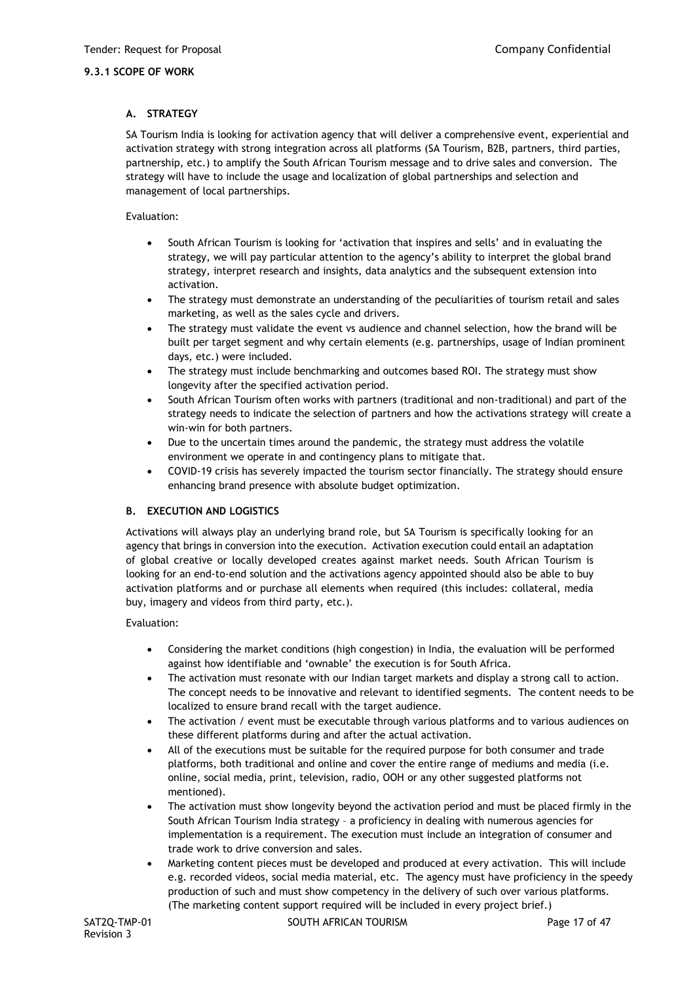## **9.3.1 SCOPE OF WORK**

## **A. STRATEGY**

SA Tourism India is looking for activation agency that will deliver a comprehensive event, experiential and activation strategy with strong integration across all platforms (SA Tourism, B2B, partners, third parties, partnership, etc.) to amplify the South African Tourism message and to drive sales and conversion. The strategy will have to include the usage and localization of global partnerships and selection and management of local partnerships.

## Evaluation:

- South African Tourism is looking for 'activation that inspires and sells' and in evaluating the strategy, we will pay particular attention to the agency's ability to interpret the global brand strategy, interpret research and insights, data analytics and the subsequent extension into activation.
- The strategy must demonstrate an understanding of the peculiarities of tourism retail and sales marketing, as well as the sales cycle and drivers.
- The strategy must validate the event vs audience and channel selection, how the brand will be built per target segment and why certain elements (e.g. partnerships, usage of Indian prominent days, etc.) were included.
- The strategy must include benchmarking and outcomes based ROI. The strategy must show longevity after the specified activation period.
- South African Tourism often works with partners (traditional and non-traditional) and part of the strategy needs to indicate the selection of partners and how the activations strategy will create a win-win for both partners.
- Due to the uncertain times around the pandemic, the strategy must address the volatile environment we operate in and contingency plans to mitigate that.
- COVID-19 crisis has severely impacted the tourism sector financially. The strategy should ensure enhancing brand presence with absolute budget optimization*.*

## **B. EXECUTION AND LOGISTICS**

Activations will always play an underlying brand role, but SA Tourism is specifically looking for an agency that brings in conversion into the execution. Activation execution could entail an adaptation of global creative or locally developed creates against market needs. South African Tourism is looking for an end-to-end solution and the activations agency appointed should also be able to buy activation platforms and or purchase all elements when required (this includes: collateral, media buy, imagery and videos from third party, etc.).

Evaluation:

- Considering the market conditions (high congestion) in India, the evaluation will be performed against how identifiable and 'ownable' the execution is for South Africa.
- The activation must resonate with our Indian target markets and display a strong call to action. The concept needs to be innovative and relevant to identified segments. The content needs to be localized to ensure brand recall with the target audience.
- The activation / event must be executable through various platforms and to various audiences on these different platforms during and after the actual activation.
- All of the executions must be suitable for the required purpose for both consumer and trade platforms, both traditional and online and cover the entire range of mediums and media (i.e. online, social media, print, television, radio, OOH or any other suggested platforms not mentioned).
- The activation must show longevity beyond the activation period and must be placed firmly in the South African Tourism India strategy – a proficiency in dealing with numerous agencies for implementation is a requirement. The execution must include an integration of consumer and trade work to drive conversion and sales.
- Marketing content pieces must be developed and produced at every activation. This will include e.g. recorded videos, social media material, etc. The agency must have proficiency in the speedy production of such and must show competency in the delivery of such over various platforms. (The marketing content support required will be included in every project brief.)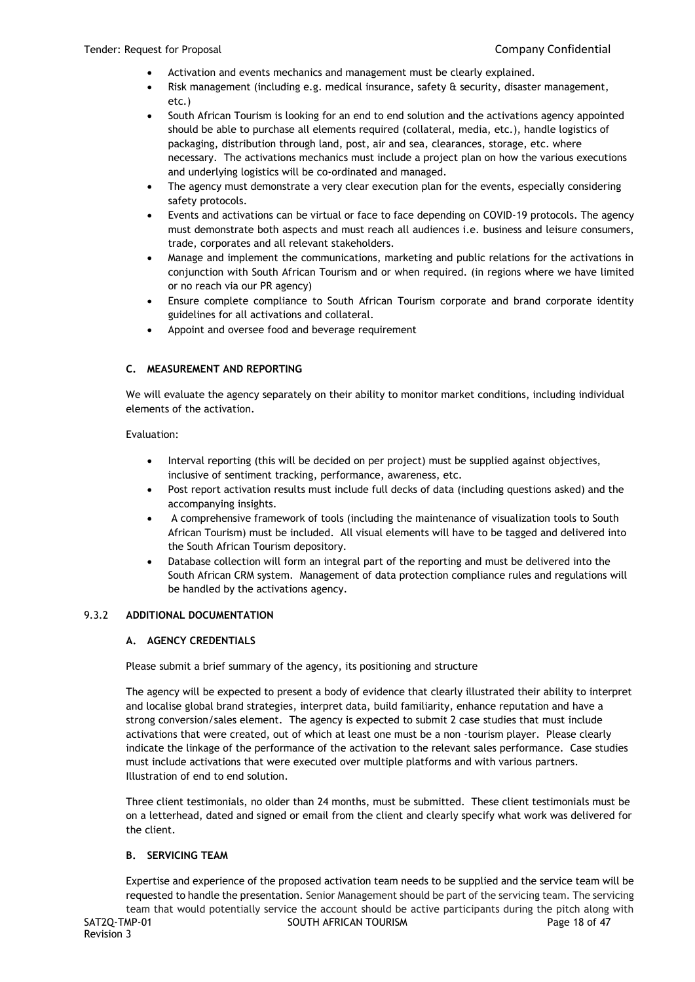- Activation and events mechanics and management must be clearly explained.
- Risk management (including e.g. medical insurance, safety & security, disaster management, etc.)
- South African Tourism is looking for an end to end solution and the activations agency appointed should be able to purchase all elements required (collateral, media, etc.), handle logistics of packaging, distribution through land, post, air and sea, clearances, storage, etc. where necessary. The activations mechanics must include a project plan on how the various executions and underlying logistics will be co-ordinated and managed.
- The agency must demonstrate a very clear execution plan for the events, especially considering safety protocols.
- Events and activations can be virtual or face to face depending on COVID-19 protocols. The agency must demonstrate both aspects and must reach all audiences i.e. business and leisure consumers, trade, corporates and all relevant stakeholders.
- Manage and implement the communications, marketing and public relations for the activations in conjunction with South African Tourism and or when required. (in regions where we have limited or no reach via our PR agency)
- Ensure complete compliance to South African Tourism corporate and brand corporate identity guidelines for all activations and collateral.
- Appoint and oversee food and beverage requirement

## **C. MEASUREMENT AND REPORTING**

We will evaluate the agency separately on their ability to monitor market conditions, including individual elements of the activation.

## Evaluation:

- Interval reporting (this will be decided on per project) must be supplied against objectives, inclusive of sentiment tracking, performance, awareness, etc.
- Post report activation results must include full decks of data (including questions asked) and the accompanying insights.
- A comprehensive framework of tools (including the maintenance of visualization tools to South African Tourism) must be included. All visual elements will have to be tagged and delivered into the South African Tourism depository.
- Database collection will form an integral part of the reporting and must be delivered into the South African CRM system. Management of data protection compliance rules and regulations will be handled by the activations agency.

## 9.3.2 **ADDITIONAL DOCUMENTATION**

## **A. AGENCY CREDENTIALS**

Please submit a brief summary of the agency, its positioning and structure

The agency will be expected to present a body of evidence that clearly illustrated their ability to interpret and localise global brand strategies, interpret data, build familiarity, enhance reputation and have a strong conversion/sales element. The agency is expected to submit 2 case studies that must include activations that were created, out of which at least one must be a non -tourism player. Please clearly indicate the linkage of the performance of the activation to the relevant sales performance. Case studies must include activations that were executed over multiple platforms and with various partners. Illustration of end to end solution.

Three client testimonials, no older than 24 months, must be submitted. These client testimonials must be on a letterhead, dated and signed or email from the client and clearly specify what work was delivered for the client.

## **B. SERVICING TEAM**

SAT2Q-TMP-01 SOUTH AFRICAN TOURISM SAT2Q-TMP-01 Page 18 of 47 Expertise and experience of the proposed activation team needs to be supplied and the service team will be requested to handle the presentation. Senior Management should be part of the servicing team. The servicing team that would potentially service the account should be active participants during the pitch along with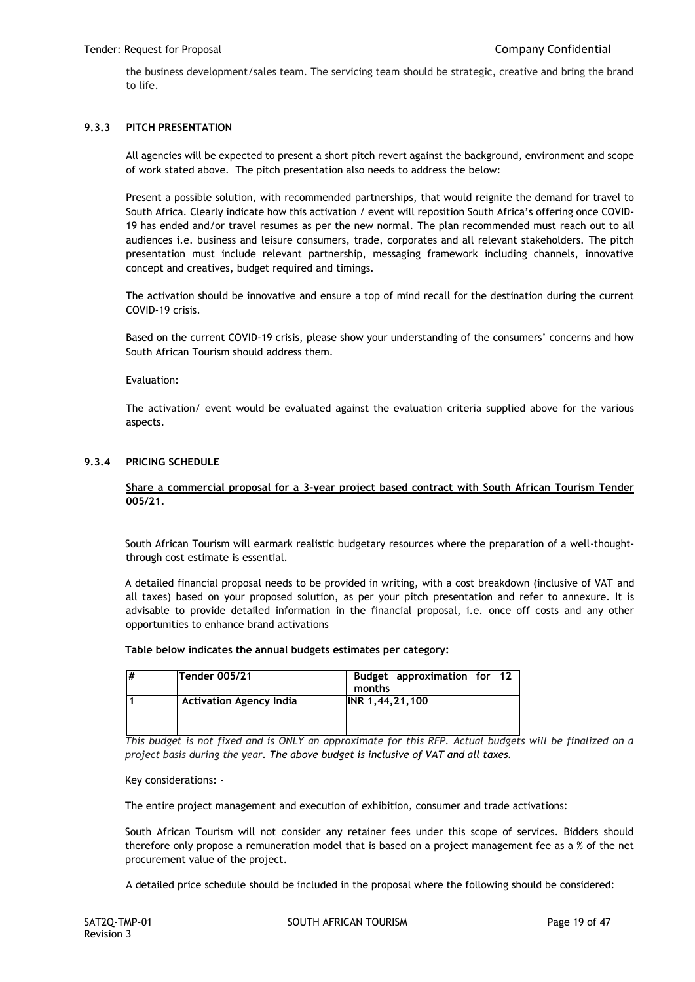the business development/sales team. The servicing team should be strategic, creative and bring the brand to life.

## **9.3.3 PITCH PRESENTATION**

All agencies will be expected to present a short pitch revert against the background, environment and scope of work stated above. The pitch presentation also needs to address the below:

Present a possible solution, with recommended partnerships, that would reignite the demand for travel to South Africa. Clearly indicate how this activation / event will reposition South Africa's offering once COVID-19 has ended and/or travel resumes as per the new normal. The plan recommended must reach out to all audiences i.e. business and leisure consumers, trade, corporates and all relevant stakeholders. The pitch presentation must include relevant partnership, messaging framework including channels, innovative concept and creatives, budget required and timings.

The activation should be innovative and ensure a top of mind recall for the destination during the current COVID-19 crisis.

Based on the current COVID-19 crisis, please show your understanding of the consumers' concerns and how South African Tourism should address them.

Evaluation:

The activation/ event would be evaluated against the evaluation criteria supplied above for the various aspects.

## **9.3.4 PRICING SCHEDULE**

## **Share a commercial proposal for a 3-year project based contract with South African Tourism Tender 005/21.**

South African Tourism will earmark realistic budgetary resources where the preparation of a well-thoughtthrough cost estimate is essential.

A detailed financial proposal needs to be provided in writing, with a cost breakdown (inclusive of VAT and all taxes) based on your proposed solution, as per your pitch presentation and refer to annexure. It is advisable to provide detailed information in the financial proposal, i.e. once off costs and any other opportunities to enhance brand activations

#### **Table below indicates the annual budgets estimates per category:**

| # | Tender 005/21                  | Budget approximation for 12<br>months |
|---|--------------------------------|---------------------------------------|
|   | <b>Activation Agency India</b> | INR 1,44,21,100                       |

*This budget is not fixed and is ONLY an approximate for this RFP. Actual budgets will be finalized on a project basis during the year. The above budget is inclusive of VAT and all taxes.*

Key considerations: -

The entire project management and execution of exhibition, consumer and trade activations:

South African Tourism will not consider any retainer fees under this scope of services. Bidders should therefore only propose a remuneration model that is based on a project management fee as a % of the net procurement value of the project.

A detailed price schedule should be included in the proposal where the following should be considered: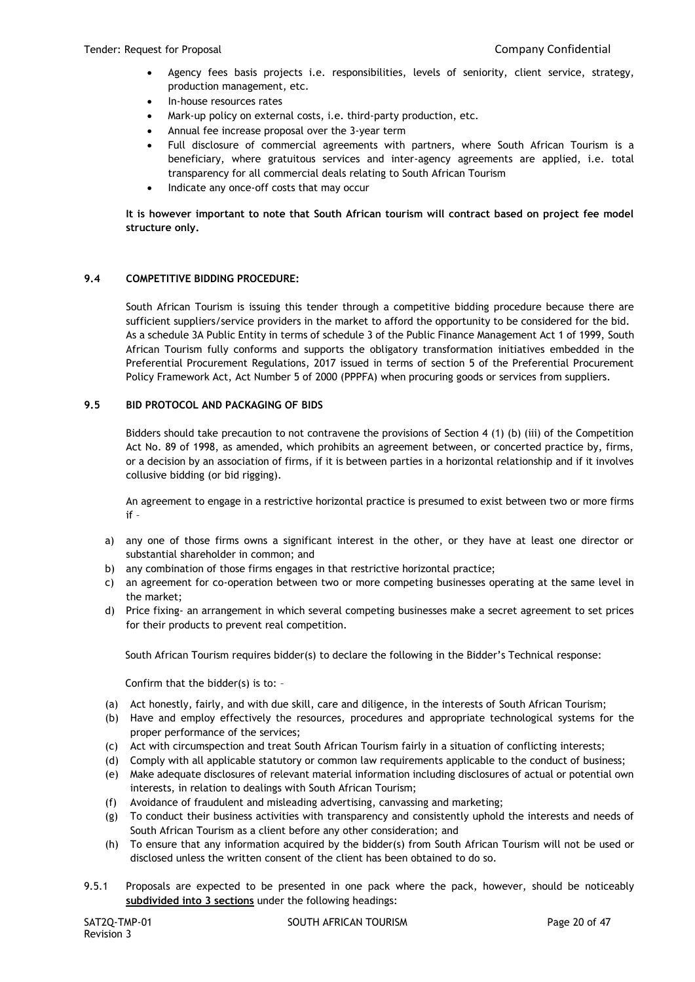- Agency fees basis projects i.e. responsibilities, levels of seniority, client service, strategy, production management, etc.
- In-house resources rates
- Mark-up policy on external costs, i.e. third-party production, etc.
- Annual fee increase proposal over the 3-year term
- Full disclosure of commercial agreements with partners, where South African Tourism is a beneficiary, where gratuitous services and inter-agency agreements are applied, i.e. total transparency for all commercial deals relating to South African Tourism
- Indicate any once-off costs that may occur

**It is however important to note that South African tourism will contract based on project fee model structure only.**

## **9.4 COMPETITIVE BIDDING PROCEDURE:**

South African Tourism is issuing this tender through a competitive bidding procedure because there are sufficient suppliers/service providers in the market to afford the opportunity to be considered for the bid. As a schedule 3A Public Entity in terms of schedule 3 of the Public Finance Management Act 1 of 1999, South African Tourism fully conforms and supports the obligatory transformation initiatives embedded in the Preferential Procurement Regulations, 2017 issued in terms of section 5 of the Preferential Procurement Policy Framework Act, Act Number 5 of 2000 (PPPFA) when procuring goods or services from suppliers.

## **9.5 BID PROTOCOL AND PACKAGING OF BIDS**

Bidders should take precaution to not contravene the provisions of Section 4 (1) (b) (iii) of the Competition Act No. 89 of 1998, as amended, which prohibits an agreement between, or concerted practice by, firms, or a decision by an association of firms, if it is between parties in a horizontal relationship and if it involves collusive bidding (or bid rigging).

An agreement to engage in a restrictive horizontal practice is presumed to exist between two or more firms if –

- a) any one of those firms owns a significant interest in the other, or they have at least one director or substantial shareholder in common; and
- b) any combination of those firms engages in that restrictive horizontal practice;
- c) an agreement for co-operation between two or more competing businesses operating at the same level in the market;
- d) Price fixing- an arrangement in which several competing businesses make a secret agreement to set prices for their products to prevent real competition.

South African Tourism requires bidder(s) to declare the following in the Bidder's Technical response:

Confirm that the bidder(s) is to: –

- (a) Act honestly, fairly, and with due skill, care and diligence, in the interests of South African Tourism;
- (b) Have and employ effectively the resources, procedures and appropriate technological systems for the proper performance of the services;
- (c) Act with circumspection and treat South African Tourism fairly in a situation of conflicting interests;
- (d) Comply with all applicable statutory or common law requirements applicable to the conduct of business;
- (e) Make adequate disclosures of relevant material information including disclosures of actual or potential own interests, in relation to dealings with South African Tourism;
- (f) Avoidance of fraudulent and misleading advertising, canvassing and marketing;
- (g) To conduct their business activities with transparency and consistently uphold the interests and needs of South African Tourism as a client before any other consideration; and
- (h) To ensure that any information acquired by the bidder(s) from South African Tourism will not be used or disclosed unless the written consent of the client has been obtained to do so.
- 9.5.1 Proposals are expected to be presented in one pack where the pack, however, should be noticeably **subdivided into 3 sections** under the following headings: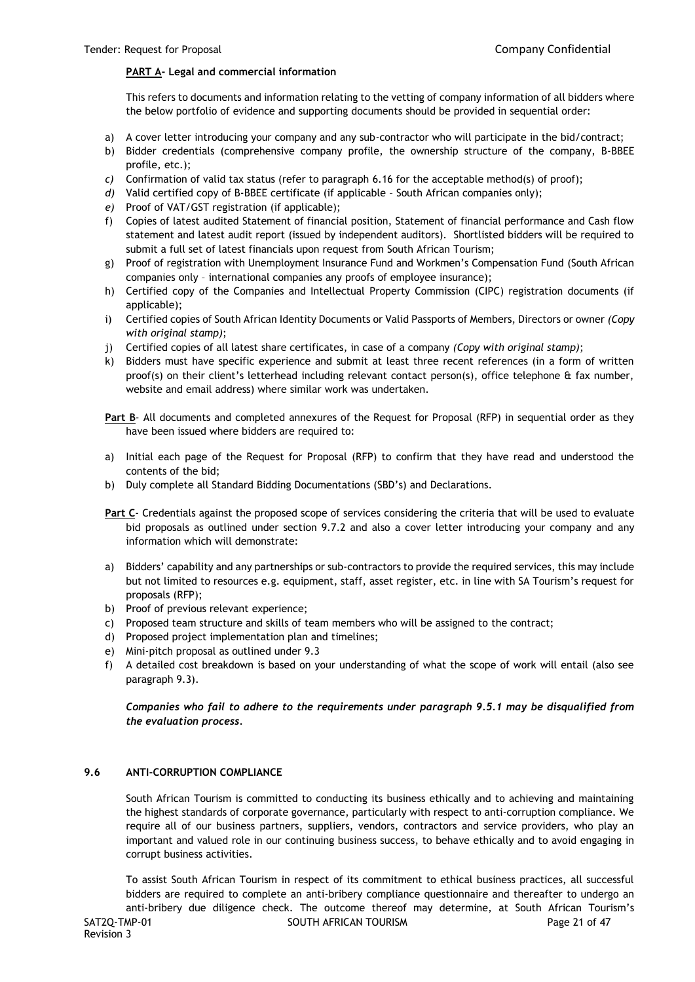## **PART A- Legal and commercial information**

This refers to documents and information relating to the vetting of company information of all bidders where the below portfolio of evidence and supporting documents should be provided in sequential order:

- a) A cover letter introducing your company and any sub-contractor who will participate in the bid/contract;
- b) Bidder credentials (comprehensive company profile, the ownership structure of the company, B-BBEE profile, etc.);
- *c)* Confirmation of valid tax status (refer to paragraph 6.16 for the acceptable method(s) of proof);
- *d)* Valid certified copy of B-BBEE certificate (if applicable South African companies only);
- *e)* Proof of VAT/GST registration (if applicable);
- f) Copies of latest audited Statement of financial position, Statement of financial performance and Cash flow statement and latest audit report (issued by independent auditors). Shortlisted bidders will be required to submit a full set of latest financials upon request from South African Tourism;
- g) Proof of registration with Unemployment Insurance Fund and Workmen's Compensation Fund (South African companies only – international companies any proofs of employee insurance);
- h) Certified copy of the Companies and Intellectual Property Commission (CIPC) registration documents (if applicable);
- i) Certified copies of South African Identity Documents or Valid Passports of Members, Directors or owner *(Copy with original stamp)*;
- j) Certified copies of all latest share certificates, in case of a company *(Copy with original stamp)*;
- k) Bidders must have specific experience and submit at least three recent references (in a form of written proof(s) on their client's letterhead including relevant contact person(s), office telephone & fax number, website and email address) where similar work was undertaken.

**Part B**- All documents and completed annexures of the Request for Proposal (RFP) in sequential order as they have been issued where bidders are required to:

- a) Initial each page of the Request for Proposal (RFP) to confirm that they have read and understood the contents of the bid;
- b) Duly complete all Standard Bidding Documentations (SBD's) and Declarations.
- **Part C** Credentials against the proposed scope of services considering the criteria that will be used to evaluate bid proposals as outlined under section 9.7.2 and also a cover letter introducing your company and any information which will demonstrate:
- a) Bidders' capability and any partnerships or sub-contractors to provide the required services, this may include but not limited to resources e.g. equipment, staff, asset register, etc. in line with SA Tourism's request for proposals (RFP);
- b) Proof of previous relevant experience;
- c) Proposed team structure and skills of team members who will be assigned to the contract;
- d) Proposed project implementation plan and timelines;
- e) Mini-pitch proposal as outlined under 9.3
- f) A detailed cost breakdown is based on your understanding of what the scope of work will entail (also see paragraph 9.3).

*Companies who fail to adhere to the requirements under paragraph 9.5.1 may be disqualified from the evaluation process.*

## **9.6 ANTI-CORRUPTION COMPLIANCE**

South African Tourism is committed to conducting its business ethically and to achieving and maintaining the highest standards of corporate governance, particularly with respect to anti-corruption compliance. We require all of our business partners, suppliers, vendors, contractors and service providers, who play an important and valued role in our continuing business success, to behave ethically and to avoid engaging in corrupt business activities.

SAT2Q-TMP-01 SOUTH AFRICAN TOURISM SAT2Q-TMP-01 Page 21 of 47 Revision 3 To assist South African Tourism in respect of its commitment to ethical business practices, all successful bidders are required to complete an anti-bribery compliance questionnaire and thereafter to undergo an anti-bribery due diligence check. The outcome thereof may determine, at South African Tourism's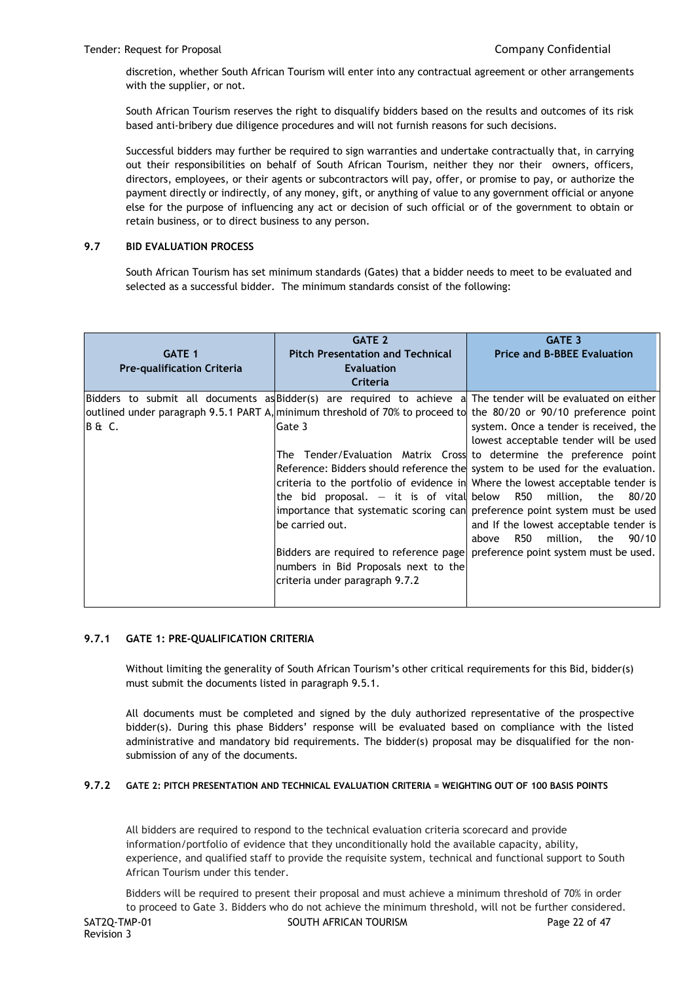discretion, whether South African Tourism will enter into any contractual agreement or other arrangements with the supplier, or not.

South African Tourism reserves the right to disqualify bidders based on the results and outcomes of its risk based anti-bribery due diligence procedures and will not furnish reasons for such decisions.

Successful bidders may further be required to sign warranties and undertake contractually that, in carrying out their responsibilities on behalf of South African Tourism, neither they nor their owners, officers, directors, employees, or their agents or subcontractors will pay, offer, or promise to pay, or authorize the payment directly or indirectly, of any money, gift, or anything of value to any government official or anyone else for the purpose of influencing any act or decision of such official or of the government to obtain or retain business, or to direct business to any person.

## **9.7 BID EVALUATION PROCESS**

South African Tourism has set minimum standards (Gates) that a bidder needs to meet to be evaluated and selected as a successful bidder. The minimum standards consist of the following:

| <b>GATE 1</b><br><b>Pre-qualification Criteria</b> | <b>GATE 2</b><br><b>Pitch Presentation and Technical</b><br><b>Evaluation</b><br>Criteria                                                                                                                                                                                                         | <b>GATE 3</b><br><b>Price and B-BBEE Evaluation</b>                                                                                                                                                                                                                                                                                                                                                                                                                                                                                                                                                                                                                                                  |
|----------------------------------------------------|---------------------------------------------------------------------------------------------------------------------------------------------------------------------------------------------------------------------------------------------------------------------------------------------------|------------------------------------------------------------------------------------------------------------------------------------------------------------------------------------------------------------------------------------------------------------------------------------------------------------------------------------------------------------------------------------------------------------------------------------------------------------------------------------------------------------------------------------------------------------------------------------------------------------------------------------------------------------------------------------------------------|
| B&C.                                               | outlined under paragraph 9.5.1 PART A, minimum threshold of 70% to proceed to the 80/20 or 90/10 preference point<br>Gate 3<br>the bid proposal. $-$ it is of vital below $\,$ R50 $\,$ million, the<br>be carried out.<br>numbers in Bid Proposals next to the<br>criteria under paragraph 9.7.2 | Bidders to submit all documents as Bidder(s) are required to achieve a The tender will be evaluated on either<br>system. Once a tender is received, the<br>lowest acceptable tender will be used<br>The Tender/Evaluation Matrix Cross to determine the preference point<br>Reference: Bidders should reference the system to be used for the evaluation.<br>criteria to the portfolio of evidence in Where the lowest acceptable tender is<br>80/20<br>importance that systematic scoring can preference point system must be used<br>and If the lowest acceptable tender is<br>million, the 90/10<br>R50<br>above<br>Bidders are required to reference page  preference point system must be used. |

## **9.7.1 GATE 1: PRE-QUALIFICATION CRITERIA**

Without limiting the generality of South African Tourism's other critical requirements for this Bid, bidder(s) must submit the documents listed in paragraph 9.5.1.

All documents must be completed and signed by the duly authorized representative of the prospective bidder(s). During this phase Bidders' response will be evaluated based on compliance with the listed administrative and mandatory bid requirements. The bidder(s) proposal may be disqualified for the nonsubmission of any of the documents.

## **9.7.2 GATE 2: PITCH PRESENTATION AND TECHNICAL EVALUATION CRITERIA = WEIGHTING OUT OF 100 BASIS POINTS**

All bidders are required to respond to the technical evaluation criteria scorecard and provide information/portfolio of evidence that they unconditionally hold the available capacity, ability, experience, and qualified staff to provide the requisite system, technical and functional support to South African Tourism under this tender.

SAT2Q-TMP-01 SOUTH AFRICAN TOURISM SAT2Q-TMP-01 Page 22 of 47 Revision 3 Bidders will be required to present their proposal and must achieve a minimum threshold of 70% in order to proceed to Gate 3. Bidders who do not achieve the minimum threshold, will not be further considered.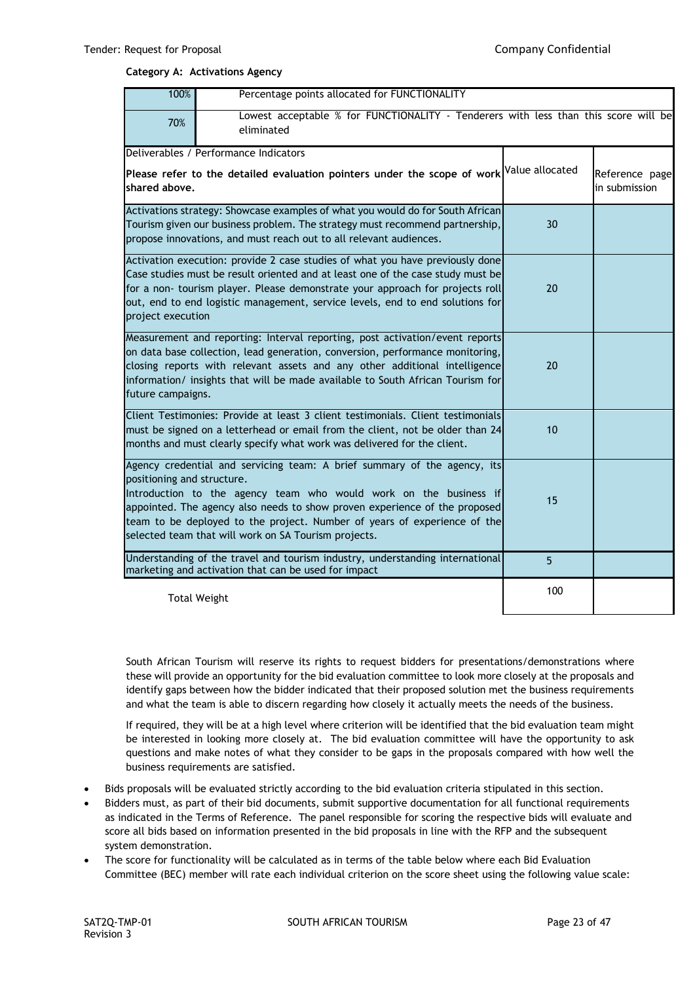#### **Category A: Activations Agency**

| 100%<br>Percentage points allocated for FUNCTIONALITY |                                                                                                                                                                                                                                                                                                                                                                 |     |                                 |  |
|-------------------------------------------------------|-----------------------------------------------------------------------------------------------------------------------------------------------------------------------------------------------------------------------------------------------------------------------------------------------------------------------------------------------------------------|-----|---------------------------------|--|
| 70%                                                   | Lowest acceptable % for FUNCTIONALITY - Tenderers with less than this score will be<br>eliminated                                                                                                                                                                                                                                                               |     |                                 |  |
|                                                       | Deliverables / Performance Indicators                                                                                                                                                                                                                                                                                                                           |     |                                 |  |
| shared above.                                         | Please refer to the detailed evaluation pointers under the scope of work $\vert$ <sup>Value allocated</sup>                                                                                                                                                                                                                                                     |     | Reference page<br>in submission |  |
|                                                       | Activations strategy: Showcase examples of what you would do for South African                                                                                                                                                                                                                                                                                  |     |                                 |  |
|                                                       | Tourism given our business problem. The strategy must recommend partnership,<br>propose innovations, and must reach out to all relevant audiences.                                                                                                                                                                                                              | 30  |                                 |  |
| project execution                                     | Activation execution: provide 2 case studies of what you have previously done<br>Case studies must be result oriented and at least one of the case study must be<br>for a non- tourism player. Please demonstrate your approach for projects roll<br>out, end to end logistic management, service levels, end to end solutions for                              | 20  |                                 |  |
| future campaigns.                                     | Measurement and reporting: Interval reporting, post activation/event reports<br>on data base collection, lead generation, conversion, performance monitoring,<br>closing reports with relevant assets and any other additional intelligence<br>information/ insights that will be made available to South African Tourism for                                   | 20  |                                 |  |
|                                                       | Client Testimonies: Provide at least 3 client testimonials. Client testimonials<br>must be signed on a letterhead or email from the client, not be older than 24<br>months and must clearly specify what work was delivered for the client.                                                                                                                     | 10  |                                 |  |
| positioning and structure.                            | Agency credential and servicing team: A brief summary of the agency, its<br>Introduction to the agency team who would work on the business if<br>appointed. The agency also needs to show proven experience of the proposed<br>team to be deployed to the project. Number of years of experience of the<br>selected team that will work on SA Tourism projects. | 15  |                                 |  |
|                                                       | Understanding of the travel and tourism industry, understanding international<br>marketing and activation that can be used for impact                                                                                                                                                                                                                           | 5   |                                 |  |
|                                                       | <b>Total Weight</b>                                                                                                                                                                                                                                                                                                                                             | 100 |                                 |  |

South African Tourism will reserve its rights to request bidders for presentations/demonstrations where these will provide an opportunity for the bid evaluation committee to look more closely at the proposals and identify gaps between how the bidder indicated that their proposed solution met the business requirements and what the team is able to discern regarding how closely it actually meets the needs of the business.

If required, they will be at a high level where criterion will be identified that the bid evaluation team might be interested in looking more closely at. The bid evaluation committee will have the opportunity to ask questions and make notes of what they consider to be gaps in the proposals compared with how well the business requirements are satisfied.

- Bids proposals will be evaluated strictly according to the bid evaluation criteria stipulated in this section.
- Bidders must, as part of their bid documents, submit supportive documentation for all functional requirements as indicated in the Terms of Reference. The panel responsible for scoring the respective bids will evaluate and score all bids based on information presented in the bid proposals in line with the RFP and the subsequent system demonstration.
- The score for functionality will be calculated as in terms of the table below where each Bid Evaluation Committee (BEC) member will rate each individual criterion on the score sheet using the following value scale: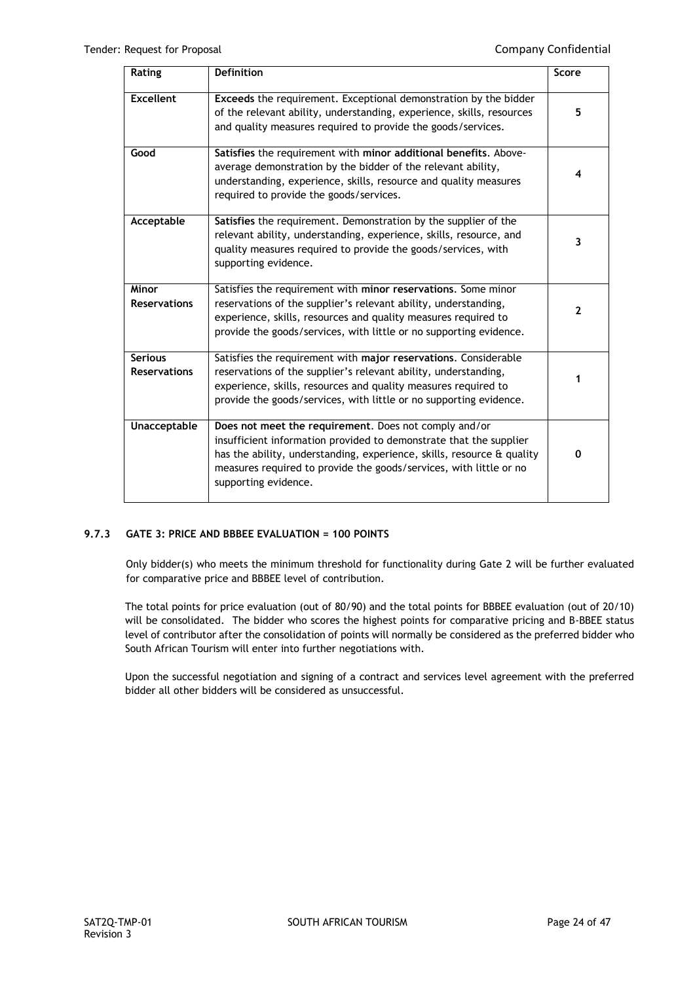| Rating                                | <b>Definition</b>                                                                                                                                                                                                                                                                                   | Score        |
|---------------------------------------|-----------------------------------------------------------------------------------------------------------------------------------------------------------------------------------------------------------------------------------------------------------------------------------------------------|--------------|
| <b>Excellent</b>                      | Exceeds the requirement. Exceptional demonstration by the bidder<br>of the relevant ability, understanding, experience, skills, resources<br>and quality measures required to provide the goods/services.                                                                                           | 5            |
| Good                                  | Satisfies the requirement with minor additional benefits. Above-<br>average demonstration by the bidder of the relevant ability,<br>understanding, experience, skills, resource and quality measures<br>required to provide the goods/services.                                                     | 4            |
| Acceptable                            | Satisfies the requirement. Demonstration by the supplier of the<br>relevant ability, understanding, experience, skills, resource, and<br>quality measures required to provide the goods/services, with<br>supporting evidence.                                                                      | 3            |
| <b>Minor</b><br><b>Reservations</b>   | Satisfies the requirement with minor reservations. Some minor<br>reservations of the supplier's relevant ability, understanding,<br>experience, skills, resources and quality measures required to<br>provide the goods/services, with little or no supporting evidence.                            | $\mathbf{2}$ |
| <b>Serious</b><br><b>Reservations</b> | Satisfies the requirement with major reservations. Considerable<br>reservations of the supplier's relevant ability, understanding,<br>experience, skills, resources and quality measures required to<br>provide the goods/services, with little or no supporting evidence.                          | 1            |
| <b>Unacceptable</b>                   | Does not meet the requirement. Does not comply and/or<br>insufficient information provided to demonstrate that the supplier<br>has the ability, understanding, experience, skills, resource & quality<br>measures required to provide the goods/services, with little or no<br>supporting evidence. | 0            |

## **9.7.3 GATE 3: PRICE AND BBBEE EVALUATION = 100 POINTS**

Only bidder(s) who meets the minimum threshold for functionality during Gate 2 will be further evaluated for comparative price and BBBEE level of contribution.

The total points for price evaluation (out of 80/90) and the total points for BBBEE evaluation (out of 20/10) will be consolidated. The bidder who scores the highest points for comparative pricing and B-BBEE status level of contributor after the consolidation of points will normally be considered as the preferred bidder who South African Tourism will enter into further negotiations with.

Upon the successful negotiation and signing of a contract and services level agreement with the preferred bidder all other bidders will be considered as unsuccessful.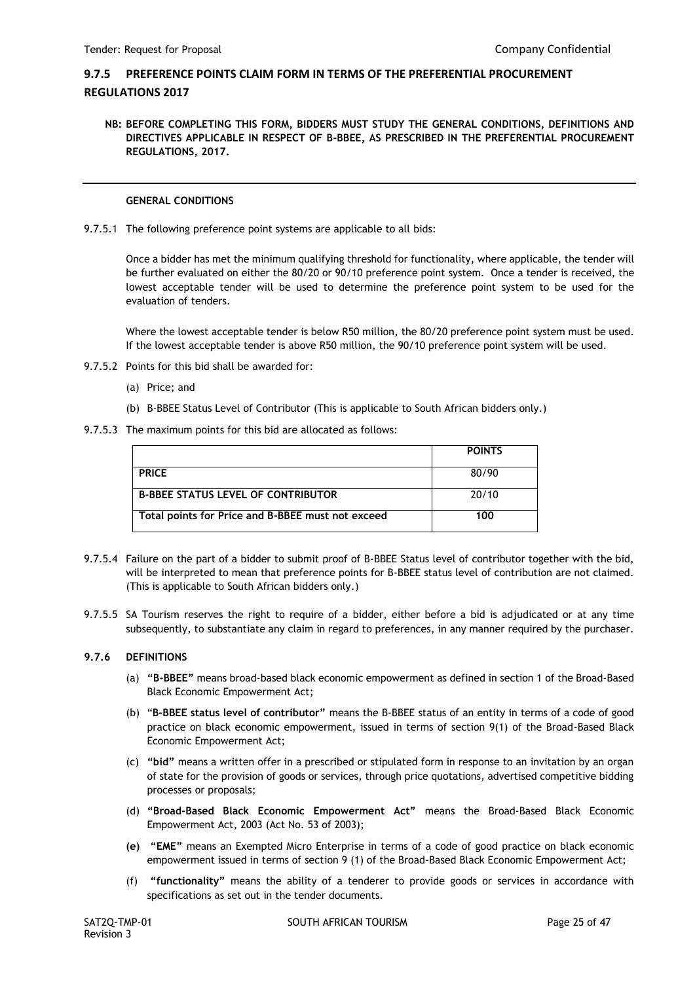# **9.7.5 PREFERENCE POINTS CLAIM FORM IN TERMS OF THE PREFERENTIAL PROCUREMENT REGULATIONS 2017**

**NB: BEFORE COMPLETING THIS FORM, BIDDERS MUST STUDY THE GENERAL CONDITIONS, DEFINITIONS AND DIRECTIVES APPLICABLE IN RESPECT OF B-BBEE, AS PRESCRIBED IN THE PREFERENTIAL PROCUREMENT REGULATIONS, 2017.** 

## **GENERAL CONDITIONS**

9.7.5.1 The following preference point systems are applicable to all bids:

Once a bidder has met the minimum qualifying threshold for functionality, where applicable, the tender will be further evaluated on either the 80/20 or 90/10 preference point system. Once a tender is received, the lowest acceptable tender will be used to determine the preference point system to be used for the evaluation of tenders.

Where the lowest acceptable tender is below R50 million, the 80/20 preference point system must be used. If the lowest acceptable tender is above R50 million, the 90/10 preference point system will be used.

- 9.7.5.2 Points for this bid shall be awarded for:
	- (a) Price; and
	- (b) B-BBEE Status Level of Contributor (This is applicable to South African bidders only.)
- 9.7.5.3 The maximum points for this bid are allocated as follows:

|                                                   | <b>POINTS</b> |
|---------------------------------------------------|---------------|
| <b>PRICE</b>                                      | 80/90         |
| <b>B-BBEE STATUS LEVEL OF CONTRIBUTOR</b>         | 20/10         |
| Total points for Price and B-BBEE must not exceed | 100           |

- 9.7.5.4 Failure on the part of a bidder to submit proof of B-BBEE Status level of contributor together with the bid, will be interpreted to mean that preference points for B-BBEE status level of contribution are not claimed. (This is applicable to South African bidders only.)
- 9.7.5.5 SA Tourism reserves the right to require of a bidder, either before a bid is adjudicated or at any time subsequently, to substantiate any claim in regard to preferences, in any manner required by the purchaser.

## **9.7.6 DEFINITIONS**

- (a) **"B-BBEE"** means broad-based black economic empowerment as defined in section 1 of the Broad-Based Black Economic Empowerment Act;
- (b) "**B-BBEE status level of contributor"** means the B-BBEE status of an entity in terms of a code of good practice on black economic empowerment, issued in terms of section 9(1) of the Broad-Based Black Economic Empowerment Act;
- (c) **"bid"** means a written offer in a prescribed or stipulated form in response to an invitation by an organ of state for the provision of goods or services, through price quotations, advertised competitive bidding processes or proposals;
- (d) **"Broad-Based Black Economic Empowerment Act"** means the Broad-Based Black Economic Empowerment Act, 2003 (Act No. 53 of 2003);
- **(e) "EME"** means an Exempted Micro Enterprise in terms of a code of good practice on black economic empowerment issued in terms of section 9 (1) of the Broad-Based Black Economic Empowerment Act;
- (f) **"functionality"** means the ability of a tenderer to provide goods or services in accordance with specifications as set out in the tender documents.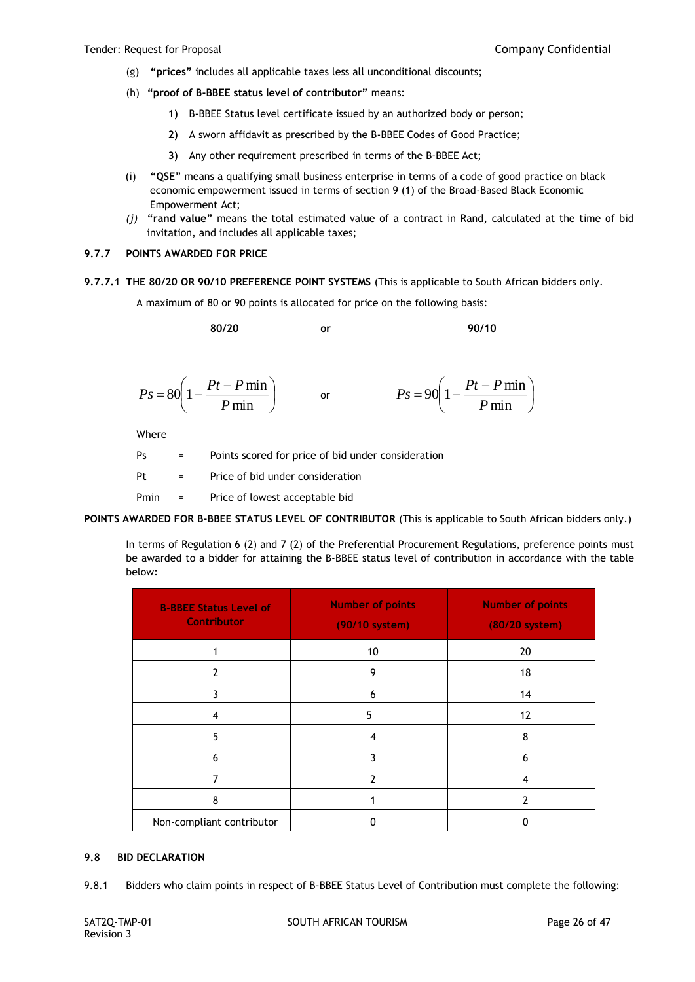- (g) **"prices"** includes all applicable taxes less all unconditional discounts;
- (h) **"proof of B-BBEE status level of contributor"** means:
	- **1)** B-BBEE Status level certificate issued by an authorized body or person;
	- **2)** A sworn affidavit as prescribed by the B-BBEE Codes of Good Practice;
	- **3)** Any other requirement prescribed in terms of the B-BBEE Act;
- (i) **"QSE"** means a qualifying small business enterprise in terms of a code of good practice on black economic empowerment issued in terms of section 9 (1) of the Broad-Based Black Economic Empowerment Act;
- *(j)* **"rand value"** means the total estimated value of a contract in Rand, calculated at the time of bid invitation, and includes all applicable taxes;

## **9.7.7 POINTS AWARDED FOR PRICE**

**9.7.7.1 THE 80/20 OR 90/10 PREFERENCE POINT SYSTEMS** (This is applicable to South African bidders only.

A maximum of 80 or 90 points is allocated for price on the following basis:

**80/20 or 90/10**

$$
Ps = 80\left(1 - \frac{Pt - P \min}{P \min}\right) \qquad \text{or} \qquad \qquad Ps = 90\left(1 - \frac{Pt - P \min}{P \min}\right)
$$

Where

| Ps   | $\equiv$                  | Points scored for price of bid under consideration |
|------|---------------------------|----------------------------------------------------|
| Pt   | $\mathbf{r} = \mathbf{r}$ | Price of bid under consideration                   |
| Pmin | $\alpha_{\rm{max}}=0.01$  | Price of lowest acceptable bid                     |

**POINTS AWARDED FOR B-BBEE STATUS LEVEL OF CONTRIBUTOR** (This is applicable to South African bidders only.)

In terms of Regulation 6 (2) and 7 (2) of the Preferential Procurement Regulations, preference points must be awarded to a bidder for attaining the B-BBEE status level of contribution in accordance with the table below:

| <b>B-BBEE Status Level of</b><br><b>Contributor</b> | <b>Number of points</b><br>(90/10 system) | <b>Number of points</b><br>(80/20 system) |
|-----------------------------------------------------|-------------------------------------------|-------------------------------------------|
|                                                     | 10                                        | 20                                        |
| 2                                                   | 9                                         | 18                                        |
| 3                                                   | 6                                         | 14                                        |
| 4                                                   | 5                                         | 12                                        |
| 5                                                   | 4                                         | 8                                         |
| 6                                                   | 3                                         | 6                                         |
|                                                     | 7                                         | 4                                         |
| 8                                                   |                                           | 7                                         |
| Non-compliant contributor                           | ŋ                                         | ŋ                                         |

#### **9.8 BID DECLARATION**

9.8.1 Bidders who claim points in respect of B-BBEE Status Level of Contribution must complete the following: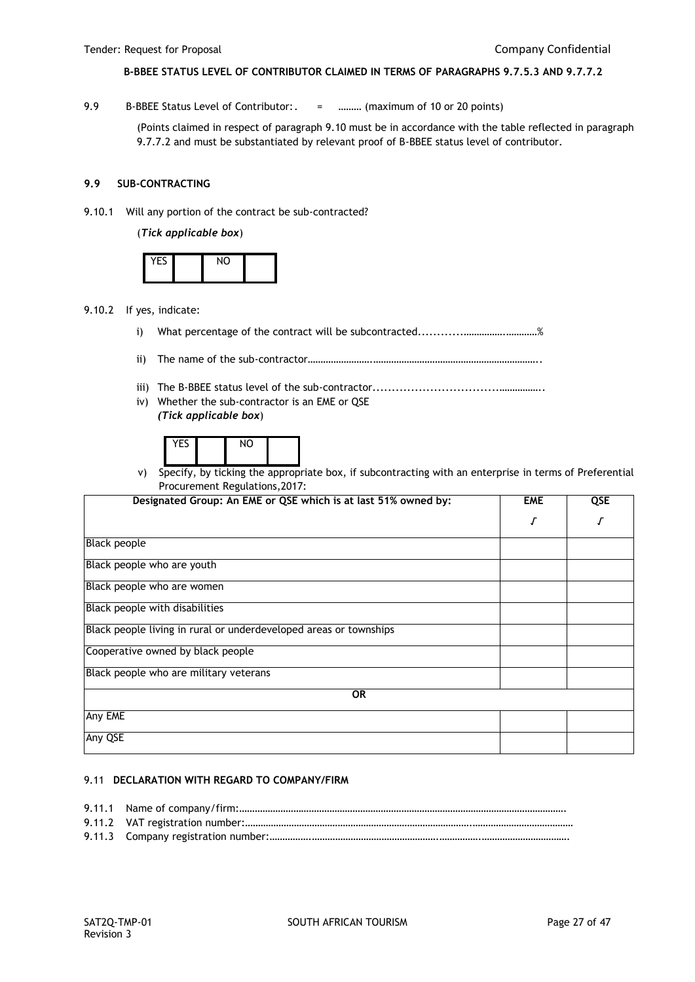## **B-BBEE STATUS LEVEL OF CONTRIBUTOR CLAIMED IN TERMS OF PARAGRAPHS 9.7.5.3 AND 9.7.7.2**

9.9 B-BBEE Status Level of Contributor:. = .......... (maximum of 10 or 20 points)

(Points claimed in respect of paragraph 9.10 must be in accordance with the table reflected in paragraph 9.7.7.2 and must be substantiated by relevant proof of B-BBEE status level of contributor.

## **9.9 SUB-CONTRACTING**

9.10.1 Will any portion of the contract be sub-contracted?

(*Tick applicable box*)

| $10 - c$ | $\overline{M}$ |  |
|----------|----------------|--|
|          |                |  |

- 9.10.2 If yes, indicate:
	- i) What percentage of the contract will be subcontracted............…………….…………%
	- ii) The name of the sub-contractor…………………….………………………………………………………..
	- iii) The B-BBEE status level of the sub-contractor.................................……………..
	- iv) Whether the sub-contractor is an EME or QSE *(Tick applicable box*)

| --     |        | NC |  |
|--------|--------|----|--|
| $\sim$ | $\sim$ |    |  |

v) Specify, by ticking the appropriate box, if subcontracting with an enterprise in terms of Preferential Procurement Regulations,2017:

| Designated Group: An EME or QSE which is at last 51% owned by:    | <b>EME</b> | QSE |
|-------------------------------------------------------------------|------------|-----|
|                                                                   |            | J   |
| <b>Black people</b>                                               |            |     |
| Black people who are youth                                        |            |     |
| Black people who are women                                        |            |     |
| Black people with disabilities                                    |            |     |
| Black people living in rural or underdeveloped areas or townships |            |     |
| Cooperative owned by black people                                 |            |     |
| Black people who are military veterans                            |            |     |
| <b>OR</b>                                                         |            |     |
| Any EME                                                           |            |     |
| Any QSE                                                           |            |     |

#### 9.11 **DECLARATION WITH REGARD TO COMPANY/FIRM**

9.11.1 Name of company/firm:………………………………………………………………………………………………………………. 9.11.2 VAT registration number:…………………………………………………………………………….………………………………… 9.11.3 Company registration number:…………….………………………………………….…………….…………………………….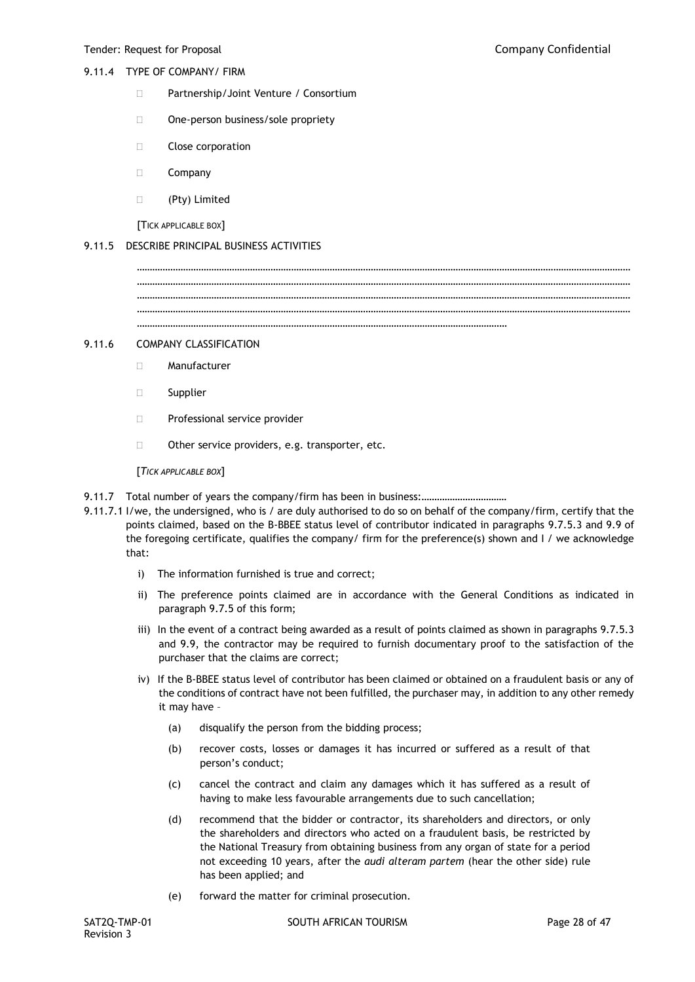## 9.11.4 TYPE OF COMPANY/ FIRM

- □ Partnership/Joint Venture / Consortium
- □ One-person business/sole propriety
- **Close corporation**
- Company
- (Pty) Limited

[TICK APPLICABLE BOX]

## 9.11.5 DESCRIBE PRINCIPAL BUSINESS ACTIVITIES

………………………………………………………………………………………………………………………………………………………………………… ………………………………………………………………………………………………………………………………………………………………………… ………………………………………………………………………………………………………………………………………………………………………… ………………………………………………………………………………………………………………………………

…………………………………………………………………………………………………………………………………………………………………………

## 9.11.6 COMPANY CLASSIFICATION

- Manufacturer
- □ Supplier
- **Professional service provider**
- $\Box$  Other service providers, e.g. transporter, etc.

[*TICK APPLICABLE BOX*]

- 9.11.7 Total number of years the company/firm has been in business:.................................
- 9.11.7.1 I/we, the undersigned, who is / are duly authorised to do so on behalf of the company/firm, certify that the points claimed, based on the B-BBEE status level of contributor indicated in paragraphs 9.7.5.3 and 9.9 of the foregoing certificate, qualifies the company/ firm for the preference(s) shown and I / we acknowledge that:
	- i) The information furnished is true and correct;
	- ii) The preference points claimed are in accordance with the General Conditions as indicated in paragraph 9.7.5 of this form;
	- iii) In the event of a contract being awarded as a result of points claimed as shown in paragraphs 9.7.5.3 and 9.9, the contractor may be required to furnish documentary proof to the satisfaction of the purchaser that the claims are correct;
	- iv) If the B-BBEE status level of contributor has been claimed or obtained on a fraudulent basis or any of the conditions of contract have not been fulfilled, the purchaser may, in addition to any other remedy it may have –
		- (a) disqualify the person from the bidding process;
		- (b) recover costs, losses or damages it has incurred or suffered as a result of that person's conduct;
		- (c) cancel the contract and claim any damages which it has suffered as a result of having to make less favourable arrangements due to such cancellation;
		- (d) recommend that the bidder or contractor, its shareholders and directors, or only the shareholders and directors who acted on a fraudulent basis, be restricted by the National Treasury from obtaining business from any organ of state for a period not exceeding 10 years, after the *audi alteram partem* (hear the other side) rule has been applied; and
		- (e) forward the matter for criminal prosecution.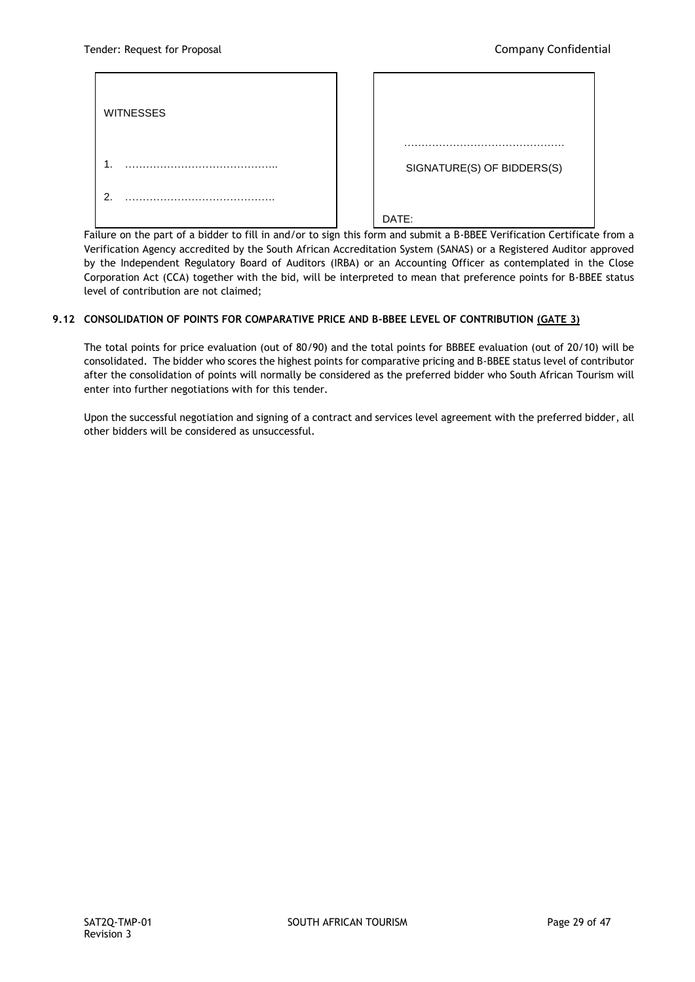| <b>WITNESSES</b> | .                          |
|------------------|----------------------------|
| . .              | SIGNATURE(S) OF BIDDERS(S) |
| $\overline{2}$   | DATE:                      |

Failure on the part of a bidder to fill in and/or to sign this form and submit a B-BBEE Verification Certificate from a Verification Agency accredited by the South African Accreditation System (SANAS) or a Registered Auditor approved<br>. by the Independent Regulatory Board of Auditors (IRBA) or an Accounting Officer as contemplated in the Close Corporation Act (CCA) together with the bid, will be interpreted to mean that preference points for B-BBEE status level of contribution are not claimed;

# **9.12 CONSOLIDATION OF POINTS FOR COMPARATIVE PRICE AND B-BBEE LEVEL OF CONTRIBUTION (GATE 3)** ……………………………

The total points for price evaluation (out of 80/90) and the total points for BBBEE evaluation (out of 20/10) will be consolidated. The bidder who scores the highest points for comparative pricing and B-BBEE status level of contributor after the consolidation of points will normally be considered as the preferred bidder who South African Tourism will enter into further negotiations with for this tender. ……..

Upon the successful negotiation and signing of a contract and services level agreement with the preferred bidder, all other bidders will be considered as unsuccessful.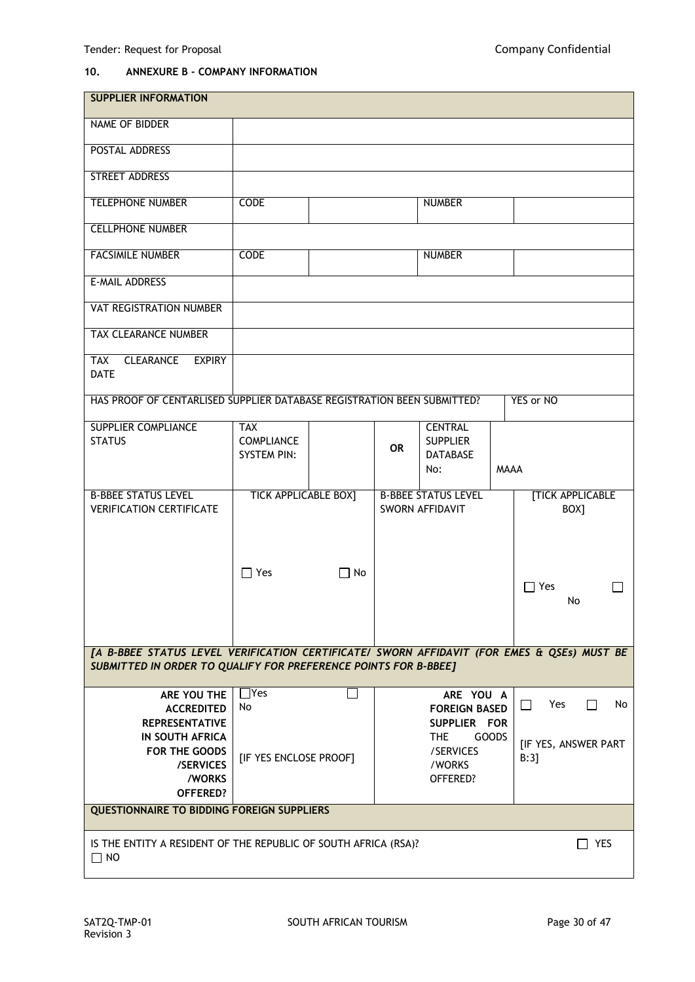# **10. ANNEXURE B - COMPANY INFORMATION**

| <b>SUPPLIER INFORMATION</b>                                                                |                             |           |           |                            |             |                                     |
|--------------------------------------------------------------------------------------------|-----------------------------|-----------|-----------|----------------------------|-------------|-------------------------------------|
| NAME OF BIDDER                                                                             |                             |           |           |                            |             |                                     |
| <b>POSTAL ADDRESS</b>                                                                      |                             |           |           |                            |             |                                     |
| <b>STREET ADDRESS</b>                                                                      |                             |           |           |                            |             |                                     |
| <b>TELEPHONE NUMBER</b>                                                                    | <b>CODE</b>                 |           |           | <b>NUMBER</b>              |             |                                     |
| <b>CELLPHONE NUMBER</b>                                                                    |                             |           |           |                            |             |                                     |
| <b>FACSIMILE NUMBER</b>                                                                    | <b>CODE</b>                 |           |           | <b>NUMBER</b>              |             |                                     |
| E-MAIL ADDRESS                                                                             |                             |           |           |                            |             |                                     |
| VAT REGISTRATION NUMBER                                                                    |                             |           |           |                            |             |                                     |
| <b>TAX CLEARANCE NUMBER</b>                                                                |                             |           |           |                            |             |                                     |
| <b>CLEARANCE</b><br><b>EXPIRY</b><br><b>TAX</b><br><b>DATE</b>                             |                             |           |           |                            |             |                                     |
| HAS PROOF OF CENTARLISED SUPPLIER DATABASE REGISTRATION BEEN SUBMITTED?                    |                             |           |           |                            |             | YES or NO                           |
| <b>SUPPLIER COMPLIANCE</b>                                                                 | <b>TAX</b>                  |           |           | <b>CENTRAL</b>             |             |                                     |
| <b>STATUS</b>                                                                              | <b>COMPLIANCE</b>           |           |           | <b>SUPPLIER</b>            |             |                                     |
|                                                                                            | <b>SYSTEM PIN:</b>          |           | <b>OR</b> | <b>DATABASE</b>            |             |                                     |
|                                                                                            |                             |           |           | No:                        | <b>MAAA</b> |                                     |
|                                                                                            |                             |           |           |                            |             |                                     |
| <b>B-BBEE STATUS LEVEL</b>                                                                 | <b>TICK APPLICABLE BOX]</b> |           |           | <b>B-BBEE STATUS LEVEL</b> |             | <b>[TICK APPLICABLE</b>             |
| <b>VERIFICATION CERTIFICATE</b>                                                            |                             |           |           | SWORN AFFIDAVIT            |             | BOX]                                |
|                                                                                            |                             |           |           |                            |             |                                     |
|                                                                                            |                             |           |           |                            |             |                                     |
|                                                                                            |                             |           |           |                            |             |                                     |
|                                                                                            | $\Box$ Yes                  | $\Box$ No |           |                            |             |                                     |
|                                                                                            |                             |           |           |                            |             | $\Box$ Yes                          |
|                                                                                            |                             |           |           |                            |             | No                                  |
|                                                                                            |                             |           |           |                            |             |                                     |
|                                                                                            |                             |           |           |                            |             |                                     |
| [A B-BBEE STATUS LEVEL VERIFICATION CERTIFICATE/ SWORN AFFIDAVIT (FOR EMES & QSEs) MUST BE |                             |           |           |                            |             |                                     |
| SUBMITTED IN ORDER TO QUALIFY FOR PREFERENCE POINTS FOR B-BBEE]                            |                             |           |           |                            |             |                                     |
| ARE YOU THE                                                                                | $\Box$ Yes                  |           |           | ARE YOU A                  |             |                                     |
| <b>ACCREDITED</b>                                                                          | No                          |           |           | <b>FOREIGN BASED</b>       |             | Yes<br>$\Box$<br>$\mathsf{L}$<br>No |
| <b>REPRESENTATIVE</b>                                                                      |                             |           |           | SUPPLIER FOR               |             |                                     |
| <b>IN SOUTH AFRICA</b>                                                                     |                             |           |           |                            |             |                                     |
|                                                                                            |                             |           |           | THE<br>GOODS               |             |                                     |
| FOR THE GOODS                                                                              |                             |           |           | /SERVICES                  |             | [IF YES, ANSWER PART<br>B:3]        |
| /SERVICES                                                                                  | [IF YES ENCLOSE PROOF]      |           |           | /WORKS                     |             |                                     |
| /WORKS                                                                                     |                             |           |           | OFFERED?                   |             |                                     |
| <b>OFFERED?</b>                                                                            |                             |           |           |                            |             |                                     |
| <b>QUESTIONNAIRE TO BIDDING FOREIGN SUPPLIERS</b>                                          |                             |           |           |                            |             |                                     |
| IS THE ENTITY A RESIDENT OF THE REPUBLIC OF SOUTH AFRICA (RSA)?                            |                             |           |           |                            |             | YES                                 |
| $\Box$ NO                                                                                  |                             |           |           |                            |             |                                     |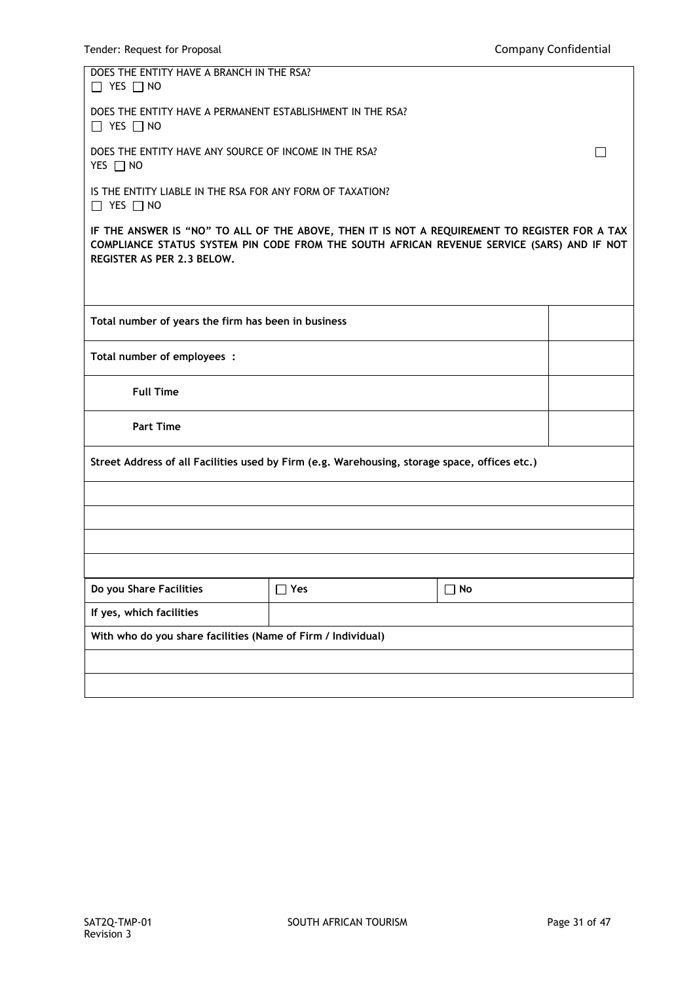| DOES THE ENTITY HAVE A BRANCH IN THE RSA?<br>$\Box$ YES $\Box$ NO                                                                                                                                                         |            |           |  |  |
|---------------------------------------------------------------------------------------------------------------------------------------------------------------------------------------------------------------------------|------------|-----------|--|--|
| DOES THE ENTITY HAVE A PERMANENT ESTABLISHMENT IN THE RSA?<br>$\Box$ YES $\Box$ NO                                                                                                                                        |            |           |  |  |
| DOES THE ENTITY HAVE ANY SOURCE OF INCOME IN THE RSA?<br>YES $\Box$ NO                                                                                                                                                    |            |           |  |  |
| IS THE ENTITY LIABLE IN THE RSA FOR ANY FORM OF TAXATION?<br>$\Box$ YES $\Box$ NO                                                                                                                                         |            |           |  |  |
| IF THE ANSWER IS "NO" TO ALL OF THE ABOVE, THEN IT IS NOT A REQUIREMENT TO REGISTER FOR A TAX<br>COMPLIANCE STATUS SYSTEM PIN CODE FROM THE SOUTH AFRICAN REVENUE SERVICE (SARS) AND IF NOT<br>REGISTER AS PER 2.3 BELOW. |            |           |  |  |
|                                                                                                                                                                                                                           |            |           |  |  |
| Total number of years the firm has been in business                                                                                                                                                                       |            |           |  |  |
| Total number of employees :                                                                                                                                                                                               |            |           |  |  |
| <b>Full Time</b>                                                                                                                                                                                                          |            |           |  |  |
| <b>Part Time</b>                                                                                                                                                                                                          |            |           |  |  |
| Street Address of all Facilities used by Firm (e.g. Warehousing, storage space, offices etc.)                                                                                                                             |            |           |  |  |
|                                                                                                                                                                                                                           |            |           |  |  |
|                                                                                                                                                                                                                           |            |           |  |  |
|                                                                                                                                                                                                                           |            |           |  |  |
|                                                                                                                                                                                                                           |            |           |  |  |
| Do you Share Facilities                                                                                                                                                                                                   | $\Box$ Yes | $\Box$ No |  |  |
| If yes, which facilities                                                                                                                                                                                                  |            |           |  |  |
| With who do you share facilities (Name of Firm / Individual)                                                                                                                                                              |            |           |  |  |
|                                                                                                                                                                                                                           |            |           |  |  |
|                                                                                                                                                                                                                           |            |           |  |  |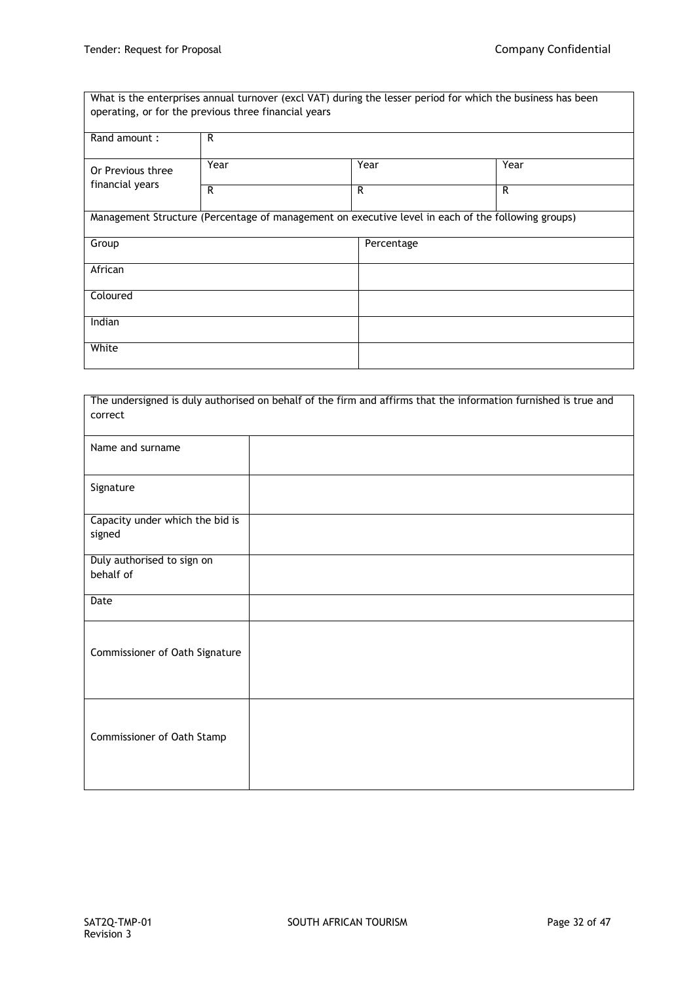What is the enterprises annual turnover (excl VAT) during the lesser period for which the business has been operating, or for the previous three financial years

| Rand amount :     | R                                                                                                  |            |      |
|-------------------|----------------------------------------------------------------------------------------------------|------------|------|
| Or Previous three | Year                                                                                               | Year       | Year |
| financial years   | R                                                                                                  | R          | R    |
|                   | Management Structure (Percentage of management on executive level in each of the following groups) |            |      |
| Group             |                                                                                                    | Percentage |      |
| African           |                                                                                                    |            |      |
| Coloured          |                                                                                                    |            |      |
| Indian            |                                                                                                    |            |      |
| White             |                                                                                                    |            |      |

|                                 | The undersigned is duly authorised on behalf of the firm and affirms that the information furnished is true and |
|---------------------------------|-----------------------------------------------------------------------------------------------------------------|
| correct                         |                                                                                                                 |
|                                 |                                                                                                                 |
| Name and surname                |                                                                                                                 |
|                                 |                                                                                                                 |
|                                 |                                                                                                                 |
| Signature                       |                                                                                                                 |
|                                 |                                                                                                                 |
| Capacity under which the bid is |                                                                                                                 |
| signed                          |                                                                                                                 |
|                                 |                                                                                                                 |
| Duly authorised to sign on      |                                                                                                                 |
| behalf of                       |                                                                                                                 |
|                                 |                                                                                                                 |
| Date                            |                                                                                                                 |
|                                 |                                                                                                                 |
|                                 |                                                                                                                 |
| Commissioner of Oath Signature  |                                                                                                                 |
|                                 |                                                                                                                 |
|                                 |                                                                                                                 |
|                                 |                                                                                                                 |
|                                 |                                                                                                                 |
|                                 |                                                                                                                 |
| Commissioner of Oath Stamp      |                                                                                                                 |
|                                 |                                                                                                                 |
|                                 |                                                                                                                 |
|                                 |                                                                                                                 |
|                                 |                                                                                                                 |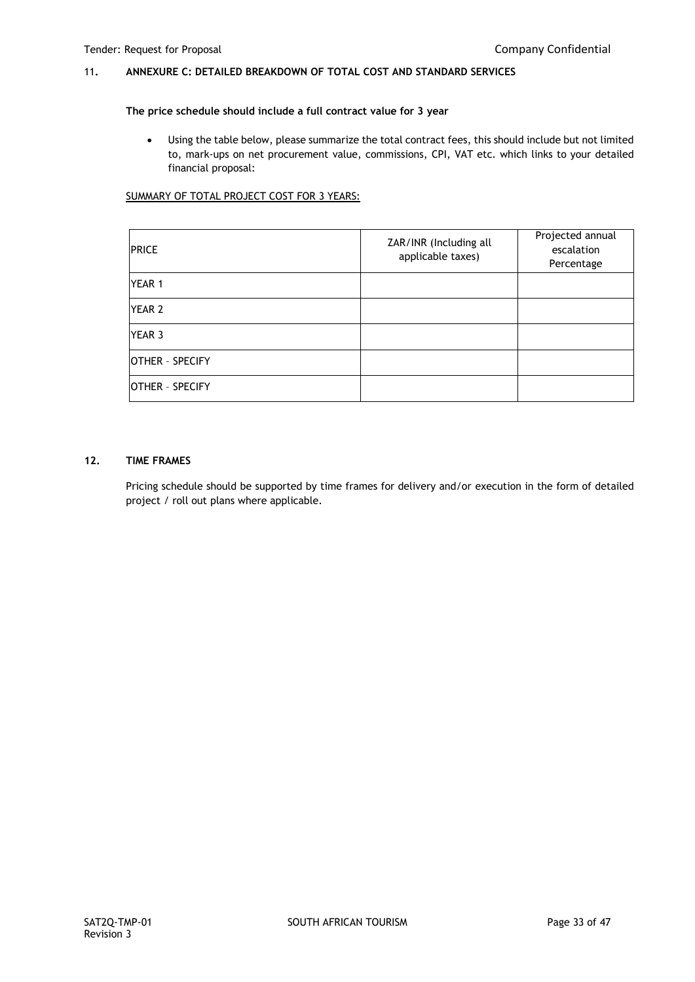## 11**. ANNEXURE C: DETAILED BREAKDOWN OF TOTAL COST AND STANDARD SERVICES**

#### **The price schedule should include a full contract value for 3 year**

 Using the table below, please summarize the total contract fees, this should include but not limited to, mark-ups on net procurement value, commissions, CPI, VAT etc. which links to your detailed financial proposal:

## SUMMARY OF TOTAL PROJECT COST FOR 3 YEARS:

| <b>PRICE</b>           | ZAR/INR (Including all<br>applicable taxes) | Projected annual<br>escalation<br>Percentage |
|------------------------|---------------------------------------------|----------------------------------------------|
| YEAR 1                 |                                             |                                              |
| YEAR 2                 |                                             |                                              |
| YEAR 3                 |                                             |                                              |
| <b>OTHER - SPECIFY</b> |                                             |                                              |
| OTHER - SPECIFY        |                                             |                                              |

## **12. TIME FRAMES**

Pricing schedule should be supported by time frames for delivery and/or execution in the form of detailed project / roll out plans where applicable.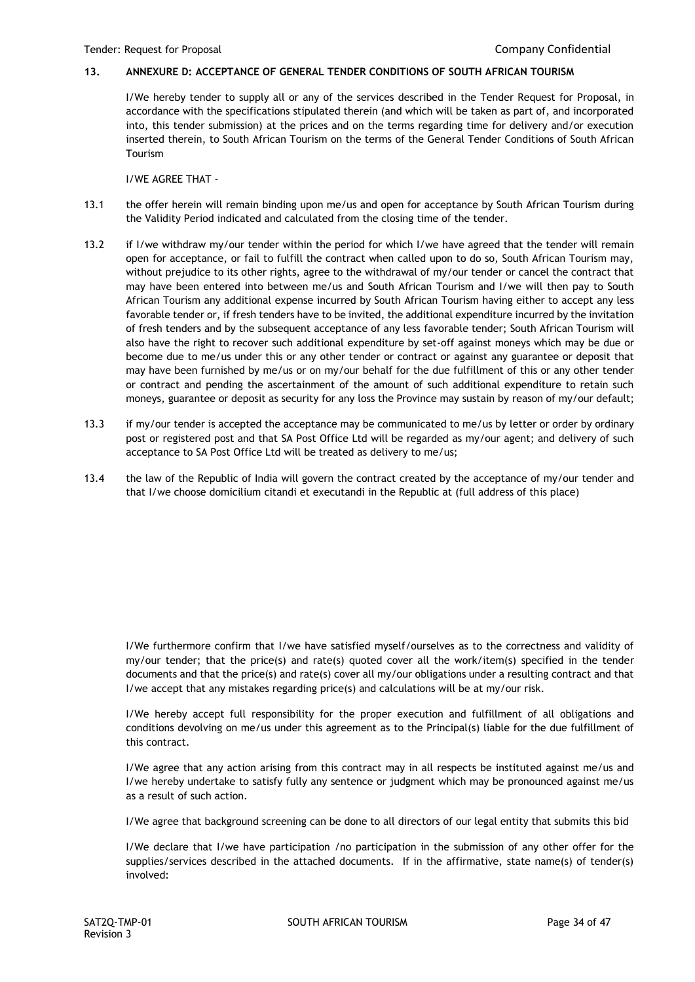## **13. ANNEXURE D: ACCEPTANCE OF GENERAL TENDER CONDITIONS OF SOUTH AFRICAN TOURISM**

I/We hereby tender to supply all or any of the services described in the Tender Request for Proposal, in accordance with the specifications stipulated therein (and which will be taken as part of, and incorporated into, this tender submission) at the prices and on the terms regarding time for delivery and/or execution inserted therein, to South African Tourism on the terms of the General Tender Conditions of South African Tourism

I/WE AGREE THAT -

- 13.1 the offer herein will remain binding upon me/us and open for acceptance by South African Tourism during the Validity Period indicated and calculated from the closing time of the tender.
- 13.2 if I/we withdraw my/our tender within the period for which I/we have agreed that the tender will remain open for acceptance, or fail to fulfill the contract when called upon to do so, South African Tourism may, without prejudice to its other rights, agree to the withdrawal of my/our tender or cancel the contract that may have been entered into between me/us and South African Tourism and I/we will then pay to South African Tourism any additional expense incurred by South African Tourism having either to accept any less favorable tender or, if fresh tenders have to be invited, the additional expenditure incurred by the invitation of fresh tenders and by the subsequent acceptance of any less favorable tender; South African Tourism will also have the right to recover such additional expenditure by set-off against moneys which may be due or become due to me/us under this or any other tender or contract or against any guarantee or deposit that may have been furnished by me/us or on my/our behalf for the due fulfillment of this or any other tender or contract and pending the ascertainment of the amount of such additional expenditure to retain such moneys, guarantee or deposit as security for any loss the Province may sustain by reason of my/our default;
- 13.3 if my/our tender is accepted the acceptance may be communicated to me/us by letter or order by ordinary post or registered post and that SA Post Office Ltd will be regarded as my/our agent; and delivery of such acceptance to SA Post Office Ltd will be treated as delivery to me/us;
- 13.4 the law of the Republic of India will govern the contract created by the acceptance of my/our tender and that I/we choose domicilium citandi et executandi in the Republic at (full address of this place)

I/We furthermore confirm that I/we have satisfied myself/ourselves as to the correctness and validity of my/our tender; that the price(s) and rate(s) quoted cover all the work/item(s) specified in the tender documents and that the price(s) and rate(s) cover all my/our obligations under a resulting contract and that I/we accept that any mistakes regarding price(s) and calculations will be at my/our risk.

I/We hereby accept full responsibility for the proper execution and fulfillment of all obligations and conditions devolving on me/us under this agreement as to the Principal(s) liable for the due fulfillment of this contract.

I/We agree that any action arising from this contract may in all respects be instituted against me/us and I/we hereby undertake to satisfy fully any sentence or judgment which may be pronounced against me/us as a result of such action.

I/We agree that background screening can be done to all directors of our legal entity that submits this bid

I/We declare that I/we have participation /no participation in the submission of any other offer for the supplies/services described in the attached documents. If in the affirmative, state name(s) of tender(s) involved: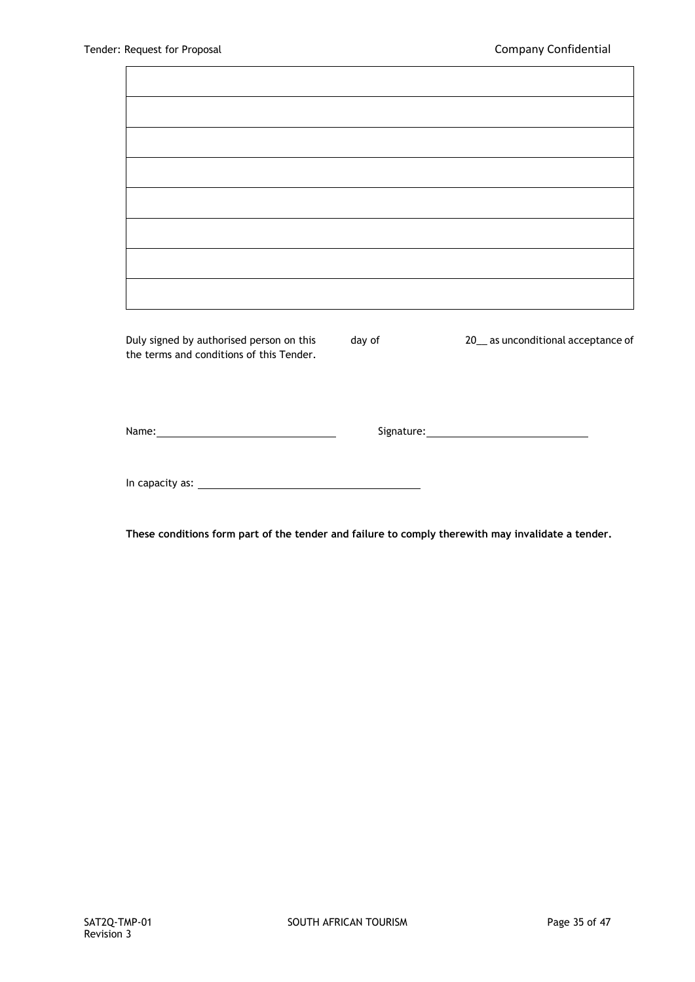$\mathbf{r}$ 

| Duly signed by authorised person on this<br>the terms and conditions of this Tender. | day of | 20_ as unconditional acceptance of |
|--------------------------------------------------------------------------------------|--------|------------------------------------|
|                                                                                      |        |                                    |
|                                                                                      |        |                                    |

**These conditions form part of the tender and failure to comply therewith may invalidate a tender.**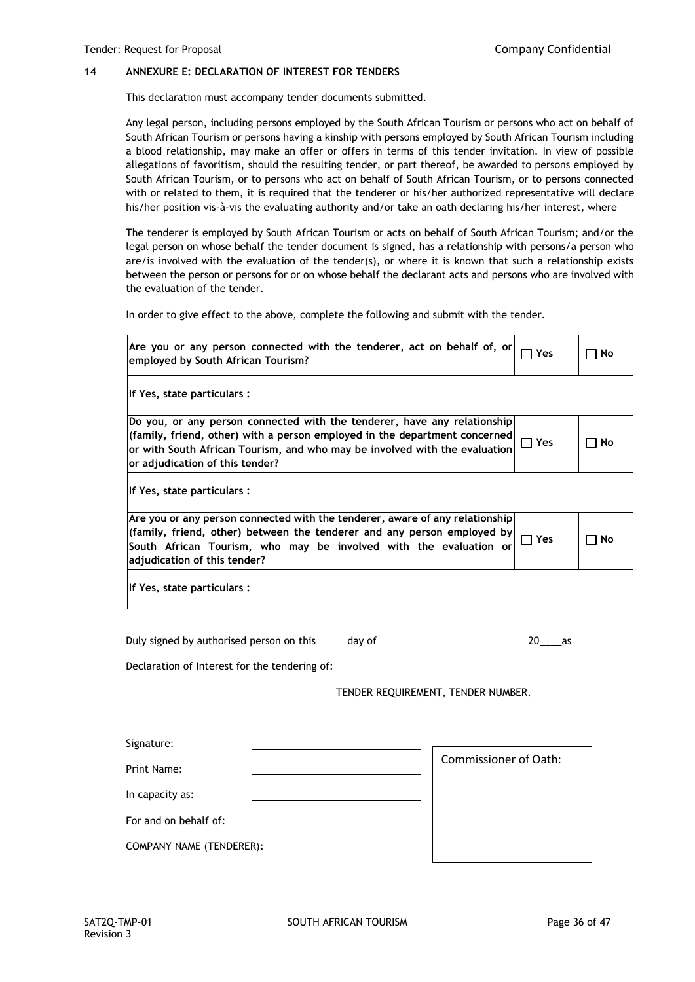## **14 ANNEXURE E: DECLARATION OF INTEREST FOR TENDERS**

This declaration must accompany tender documents submitted.

Any legal person, including persons employed by the South African Tourism or persons who act on behalf of South African Tourism or persons having a kinship with persons employed by South African Tourism including a blood relationship, may make an offer or offers in terms of this tender invitation. In view of possible allegations of favoritism, should the resulting tender, or part thereof, be awarded to persons employed by South African Tourism, or to persons who act on behalf of South African Tourism, or to persons connected with or related to them, it is required that the tenderer or his/her authorized representative will declare his/her position vis-à-vis the evaluating authority and/or take an oath declaring his/her interest, where

The tenderer is employed by South African Tourism or acts on behalf of South African Tourism; and/or the legal person on whose behalf the tender document is signed, has a relationship with persons/a person who are/is involved with the evaluation of the tender(s), or where it is known that such a relationship exists between the person or persons for or on whose behalf the declarant acts and persons who are involved with the evaluation of the tender.

In order to give effect to the above, complete the following and submit with the tender.

| Are you or any person connected with the tenderer, act on behalf of, or<br>employed by South African Tourism?                                                                                                                                                           | Yes | No |
|-------------------------------------------------------------------------------------------------------------------------------------------------------------------------------------------------------------------------------------------------------------------------|-----|----|
| If Yes, state particulars :                                                                                                                                                                                                                                             |     |    |
| Do you, or any person connected with the tenderer, have any relationship<br>(family, friend, other) with a person employed in the department concerned<br>or with South African Tourism, and who may be involved with the evaluation<br>or adjudication of this tender? | Yes | No |
| If Yes, state particulars :                                                                                                                                                                                                                                             |     |    |
| Are you or any person connected with the tenderer, aware of any relationship<br>(family, friend, other) between the tenderer and any person employed by<br>South African Tourism, who may be involved with the evaluation or<br>adjudication of this tender?            | Yes | No |
| If Yes, state particulars :                                                                                                                                                                                                                                             |     |    |

Duly signed by authorised person on this day of 20 as

Declaration of Interest for the tendering of:

TENDER REQUIREMENT, TENDER NUMBER.

| Signature:               |                              |
|--------------------------|------------------------------|
| Print Name:              | <b>Commissioner of Oath:</b> |
| In capacity as:          |                              |
| For and on behalf of:    |                              |
| COMPANY NAME (TENDERER): |                              |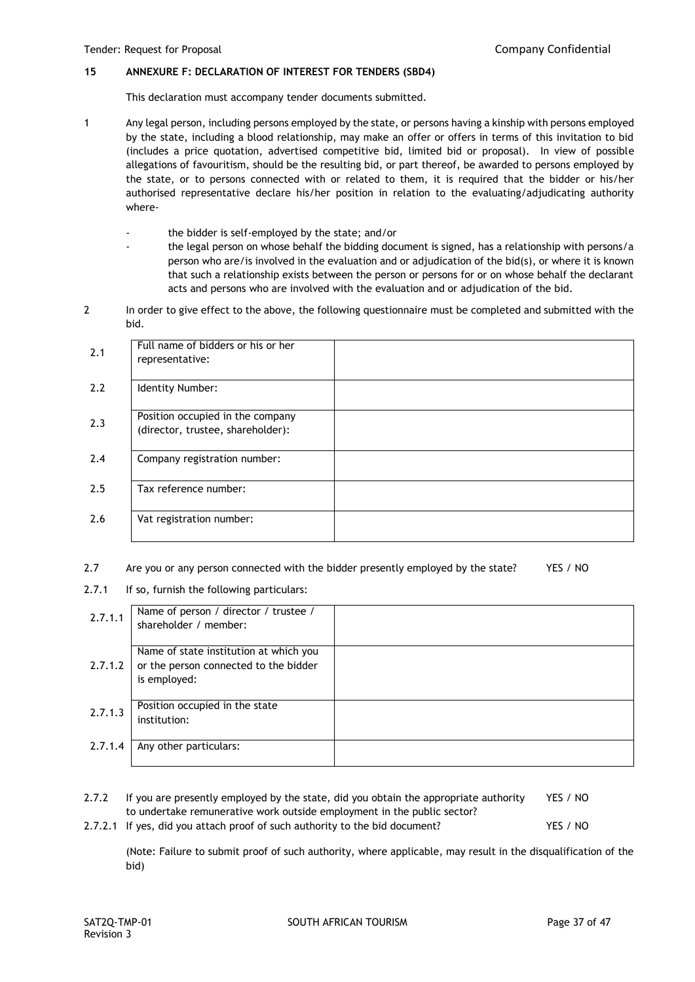## **15 ANNEXURE F: DECLARATION OF INTEREST FOR TENDERS (SBD4)**

This declaration must accompany tender documents submitted.

- 1 Any legal person, including persons employed by the state, or persons having a kinship with persons employed by the state, including a blood relationship, may make an offer or offers in terms of this invitation to bid (includes a price quotation, advertised competitive bid, limited bid or proposal). In view of possible allegations of favouritism, should be the resulting bid, or part thereof, be awarded to persons employed by the state, or to persons connected with or related to them, it is required that the bidder or his/her authorised representative declare his/her position in relation to the evaluating/adjudicating authority where
	- the bidder is self-employed by the state; and/or
	- the legal person on whose behalf the bidding document is signed, has a relationship with persons/a person who are/is involved in the evaluation and or adjudication of the bid(s), or where it is known that such a relationship exists between the person or persons for or on whose behalf the declarant acts and persons who are involved with the evaluation and or adjudication of the bid.
- 2 In order to give effect to the above, the following questionnaire must be completed and submitted with the bid.

| 2.1 | Full name of bidders or his or her<br>representative:                 |  |
|-----|-----------------------------------------------------------------------|--|
| 2.2 | Identity Number:                                                      |  |
| 2.3 | Position occupied in the company<br>(director, trustee, shareholder): |  |
| 2.4 | Company registration number:                                          |  |
| 2.5 | Tax reference number:                                                 |  |
| 2.6 | Vat registration number:                                              |  |

- 2.7 Are you or any person connected with the bidder presently employed by the state? YES / NO
- 2.7.1 If so, furnish the following particulars:

| 2.7.1.1 | Name of person / director / trustee /<br>shareholder / member:                                  |  |
|---------|-------------------------------------------------------------------------------------------------|--|
| 2.7.1.2 | Name of state institution at which you<br>or the person connected to the bidder<br>is employed: |  |
| 2.7.1.3 | Position occupied in the state<br>institution:                                                  |  |
| 2.7.1.4 | Any other particulars:                                                                          |  |

| 2.7.2 | If you are presently employed by the state, did you obtain the appropriate authority | YES / NO |
|-------|--------------------------------------------------------------------------------------|----------|
|       | to undertake remunerative work outside employment in the public sector?              |          |
|       | 2.7.2.1 If yes, did you attach proof of such authority to the bid document?          | YES / NO |

(Note: Failure to submit proof of such authority, where applicable, may result in the disqualification of the bid)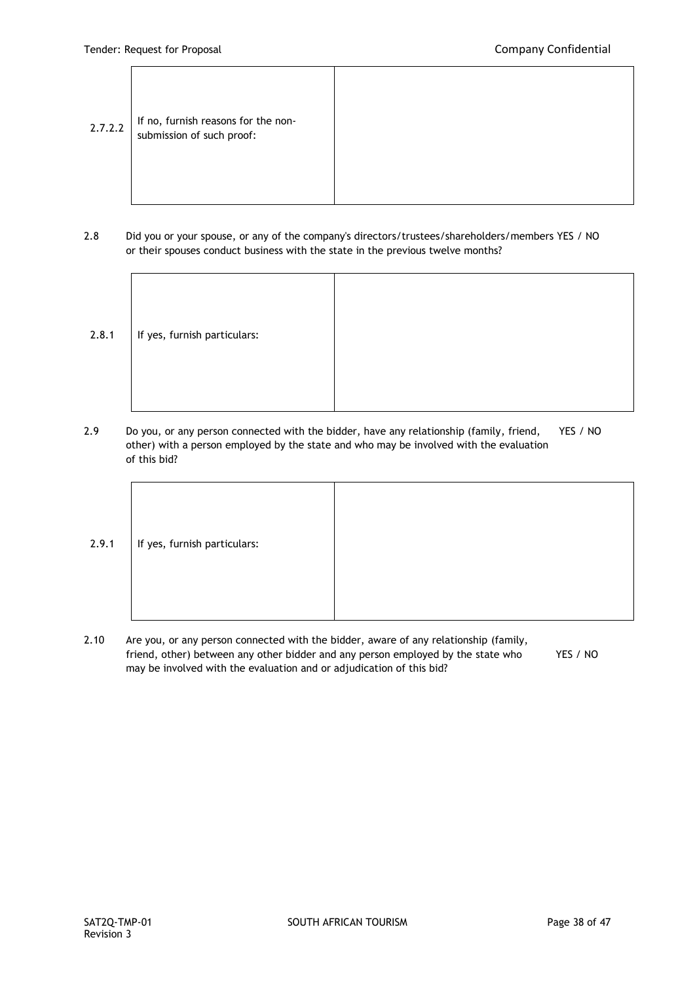- $2.7.2.2$  If no, furnish reasons for the nonsubmission of such proof:
- 2.8 Did you or your spouse, or any of the company's directors/trustees/shareholders/members YES / NO or their spouses conduct business with the state in the previous twelve months?

| 2.8.1 | If yes, furnish particulars: |  |
|-------|------------------------------|--|
|       |                              |  |
|       |                              |  |
|       |                              |  |
|       |                              |  |
|       |                              |  |
|       |                              |  |

2.9 Do you, or any person connected with the bidder, have any relationship (family, friend, YES / NO other) with a person employed by the state and who may be involved with the evaluation of this bid?



2.10 Are you, or any person connected with the bidder, aware of any relationship (family, friend, other) between any other bidder and any person employed by the state who YES / NO may be involved with the evaluation and or adjudication of this bid?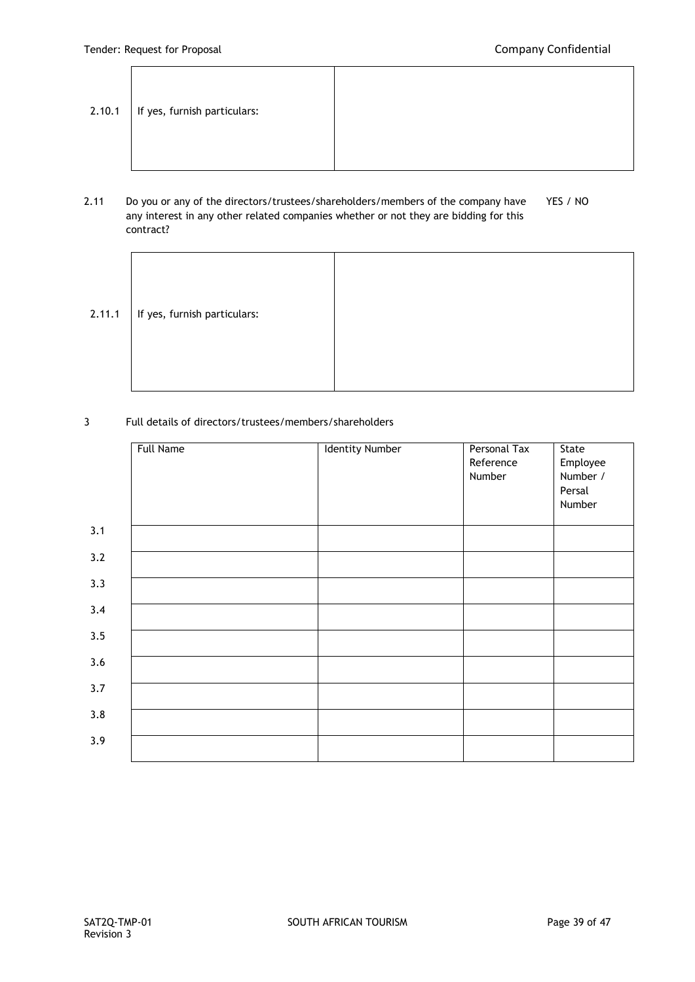.

|  | $2.10.1$   If yes, furnish particulars: |  |
|--|-----------------------------------------|--|
|--|-----------------------------------------|--|

# 2.11 Do you or any of the directors/trustees/shareholders/members of the company have YES / NO any interest in any other related companies whether or not they are bidding for this contract?

| 2.11.1 | If yes, furnish particulars: |  |
|--------|------------------------------|--|
|        |                              |  |

## 3 Full details of directors/trustees/members/shareholders

|     | <b>Full Name</b> | <b>Identity Number</b> | Personal Tax<br>Reference<br>Number | State<br>Employee<br>Number / |
|-----|------------------|------------------------|-------------------------------------|-------------------------------|
|     |                  |                        |                                     | Persal<br>Number              |
| 3.1 |                  |                        |                                     |                               |
| 3.2 |                  |                        |                                     |                               |
| 3.3 |                  |                        |                                     |                               |
| 3.4 |                  |                        |                                     |                               |
| 3.5 |                  |                        |                                     |                               |
| 3.6 |                  |                        |                                     |                               |
| 3.7 |                  |                        |                                     |                               |
| 3.8 |                  |                        |                                     |                               |
| 3.9 |                  |                        |                                     |                               |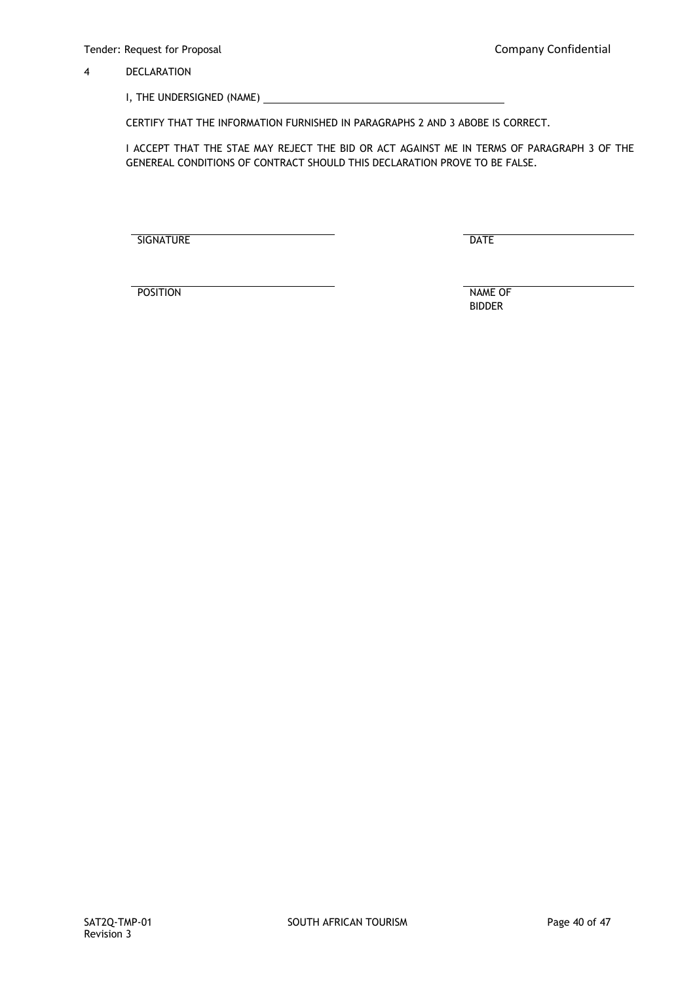## 4 DECLARATION

I, THE UNDERSIGNED (NAME)

CERTIFY THAT THE INFORMATION FURNISHED IN PARAGRAPHS 2 AND 3 ABOBE IS CORRECT.

I ACCEPT THAT THE STAE MAY REJECT THE BID OR ACT AGAINST ME IN TERMS OF PARAGRAPH 3 OF THE GENEREAL CONDITIONS OF CONTRACT SHOULD THIS DECLARATION PROVE TO BE FALSE.

SIGNATURE DATE

POSITION NAME OF

BIDDER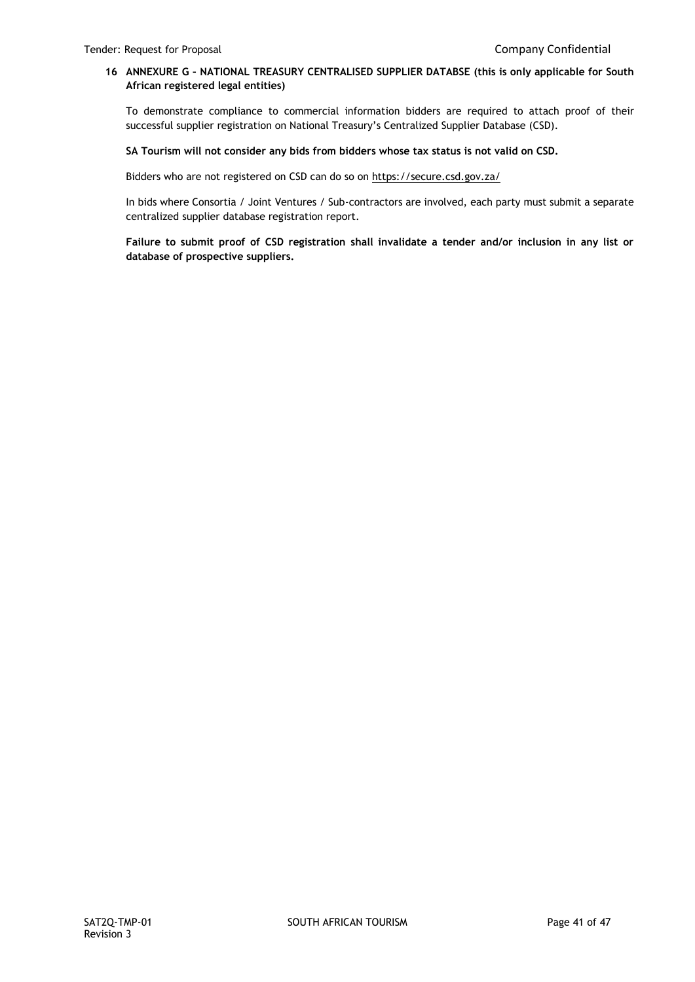## **16 ANNEXURE G – NATIONAL TREASURY CENTRALISED SUPPLIER DATABSE (this is only applicable for South African registered legal entities)**

To demonstrate compliance to commercial information bidders are required to attach proof of their successful supplier registration on National Treasury's Centralized Supplier Database (CSD).

## **SA Tourism will not consider any bids from bidders whose tax status is not valid on CSD.**

Bidders who are not registered on CSD can do so o[n https://secure.csd.gov.za/](https://secure.csd.gov.za/)

In bids where Consortia / Joint Ventures / Sub-contractors are involved, each party must submit a separate centralized supplier database registration report.

**Failure to submit proof of CSD registration shall invalidate a tender and/or inclusion in any list or database of prospective suppliers.**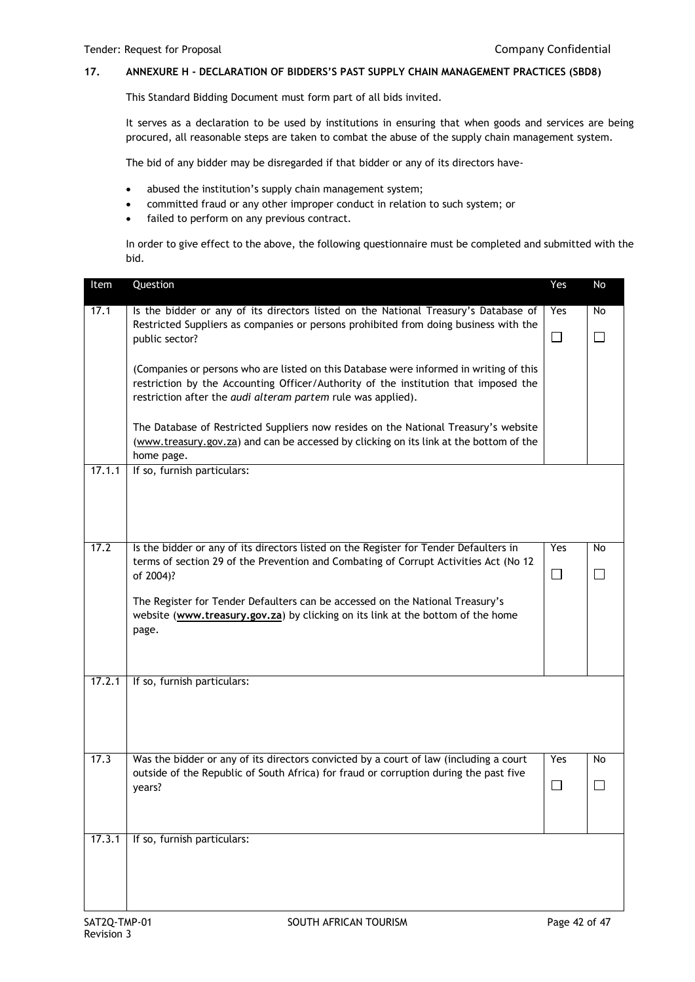# **17. ANNEXURE H - DECLARATION OF BIDDERS'S PAST SUPPLY CHAIN MANAGEMENT PRACTICES (SBD8)**

This Standard Bidding Document must form part of all bids invited.

It serves as a declaration to be used by institutions in ensuring that when goods and services are being procured, all reasonable steps are taken to combat the abuse of the supply chain management system.

The bid of any bidder may be disregarded if that bidder or any of its directors have-

- abused the institution's supply chain management system;
- committed fraud or any other improper conduct in relation to such system; or
- failed to perform on any previous contract.

In order to give effect to the above, the following questionnaire must be completed and submitted with the bid.

| Item   | Question                                                                                                                                                                                                                                      | Yes           | No                  |
|--------|-----------------------------------------------------------------------------------------------------------------------------------------------------------------------------------------------------------------------------------------------|---------------|---------------------|
| 17.1   | Is the bidder or any of its directors listed on the National Treasury's Database of                                                                                                                                                           | Yes           | No                  |
|        | Restricted Suppliers as companies or persons prohibited from doing business with the<br>public sector?                                                                                                                                        | $\Box$        | $\Box$              |
|        | (Companies or persons who are listed on this Database were informed in writing of this<br>restriction by the Accounting Officer/Authority of the institution that imposed the<br>restriction after the audi alteram partem rule was applied). |               |                     |
|        | The Database of Restricted Suppliers now resides on the National Treasury's website<br>(www.treasury.gov.za) and can be accessed by clicking on its link at the bottom of the<br>home page.                                                   |               |                     |
| 17.1.1 | If so, furnish particulars:                                                                                                                                                                                                                   |               |                     |
| 17.2   | Is the bidder or any of its directors listed on the Register for Tender Defaulters in<br>terms of section 29 of the Prevention and Combating of Corrupt Activities Act (No 12<br>of 2004)?                                                    | Yes<br>$\Box$ | <b>No</b><br>$\Box$ |
|        | The Register for Tender Defaulters can be accessed on the National Treasury's<br>website (www.treasury.gov.za) by clicking on its link at the bottom of the home<br>page.                                                                     |               |                     |
| 17.2.1 | If so, furnish particulars:                                                                                                                                                                                                                   |               |                     |
| 17.3   | Was the bidder or any of its directors convicted by a court of law (including a court<br>outside of the Republic of South Africa) for fraud or corruption during the past five                                                                | Yes           | No                  |
|        | years?                                                                                                                                                                                                                                        | □             |                     |
| 17.3.1 | If so, furnish particulars:                                                                                                                                                                                                                   |               |                     |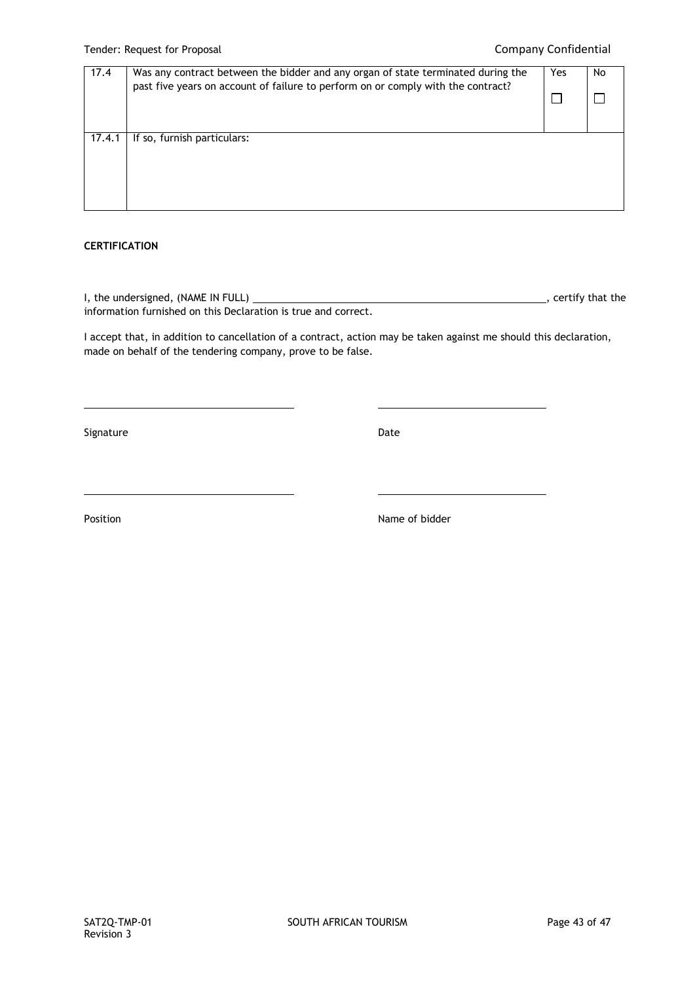| 17.4   | Was any contract between the bidder and any organ of state terminated during the<br>past five years on account of failure to perform on or comply with the contract? | Yes | No |
|--------|----------------------------------------------------------------------------------------------------------------------------------------------------------------------|-----|----|
| 17.4.1 | If so, furnish particulars:                                                                                                                                          |     |    |

## **CERTIFICATION**

I, the undersigned, (NAME IN FULL)  $\overline{\phantom{a}}$  = 0.000  $\overline{\phantom{a}}$  = 0.000  $\overline{\phantom{a}}$  , certify that the information furnished on this Declaration is true and correct.

I accept that, in addition to cancellation of a contract, action may be taken against me should this declaration, made on behalf of the tendering company, prove to be false.

Signature Date Date Date Date Date Date

Position **Name of bidder**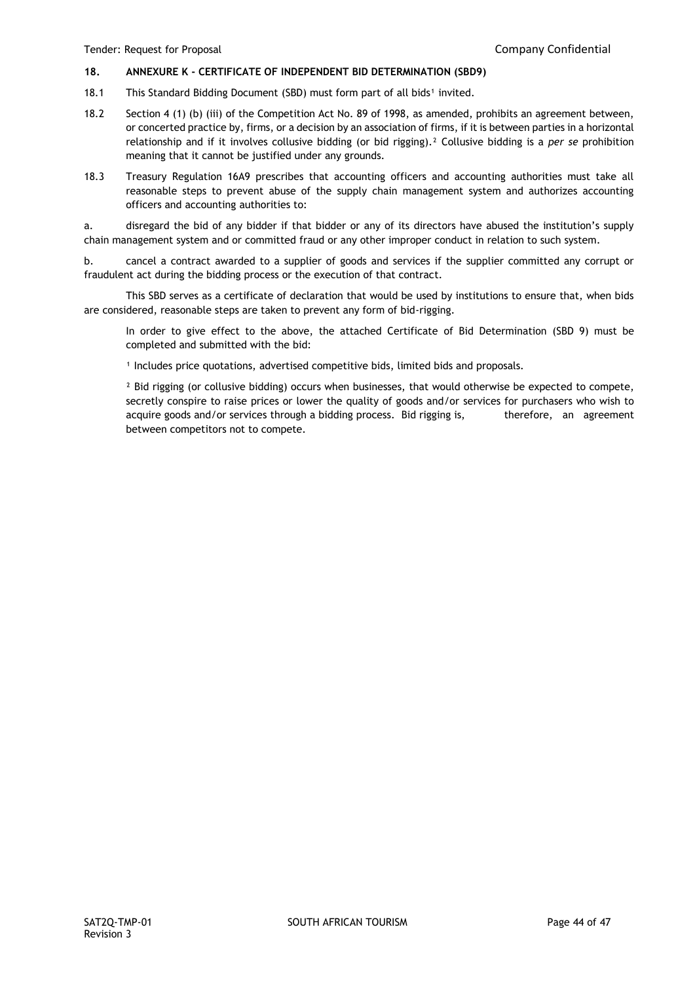## **18. ANNEXURE K - CERTIFICATE OF INDEPENDENT BID DETERMINATION (SBD9)**

- 18.1 This Standard Bidding Document (SBD) must form part of all bids<sup>1</sup> invited.
- 18.2 Section 4 (1) (b) (iii) of the Competition Act No. 89 of 1998, as amended, prohibits an agreement between, or concerted practice by, firms, or a decision by an association of firms, if it is between parties in a horizontal relationship and if it involves collusive bidding (or bid rigging).² Collusive bidding is a *per se* prohibition meaning that it cannot be justified under any grounds.
- 18.3 Treasury Regulation 16A9 prescribes that accounting officers and accounting authorities must take all reasonable steps to prevent abuse of the supply chain management system and authorizes accounting officers and accounting authorities to:

a. disregard the bid of any bidder if that bidder or any of its directors have abused the institution's supply chain management system and or committed fraud or any other improper conduct in relation to such system.

b. cancel a contract awarded to a supplier of goods and services if the supplier committed any corrupt or fraudulent act during the bidding process or the execution of that contract.

This SBD serves as a certificate of declaration that would be used by institutions to ensure that, when bids are considered, reasonable steps are taken to prevent any form of bid-rigging.

In order to give effect to the above, the attached Certificate of Bid Determination (SBD 9) must be completed and submitted with the bid:

<sup>1</sup> Includes price quotations, advertised competitive bids, limited bids and proposals.

<sup>2</sup> Bid rigging (or collusive bidding) occurs when businesses, that would otherwise be expected to compete, secretly conspire to raise prices or lower the quality of goods and/or services for purchasers who wish to acquire goods and/or services through a bidding process. Bid rigging is, therefore, an agreement between competitors not to compete.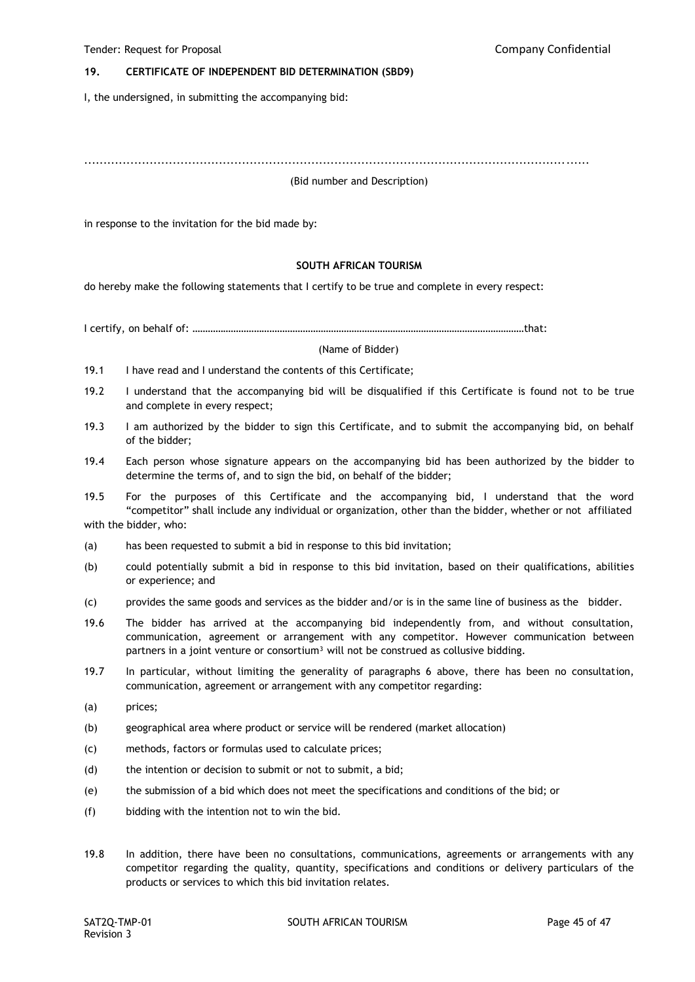## **19. CERTIFICATE OF INDEPENDENT BID DETERMINATION (SBD9)**

I, the undersigned, in submitting the accompanying bid:

...................................................................................................................................

#### (Bid number and Description)

in response to the invitation for the bid made by:

## **SOUTH AFRICAN TOURISM**

do hereby make the following statements that I certify to be true and complete in every respect:

I certify, on behalf of: …………………………………………………………………………………………………………………that:

#### (Name of Bidder)

- 19.1 I have read and I understand the contents of this Certificate;
- 19.2 I understand that the accompanying bid will be disqualified if this Certificate is found not to be true and complete in every respect;
- 19.3 I am authorized by the bidder to sign this Certificate, and to submit the accompanying bid, on behalf of the bidder;
- 19.4 Each person whose signature appears on the accompanying bid has been authorized by the bidder to determine the terms of, and to sign the bid, on behalf of the bidder;

19.5 For the purposes of this Certificate and the accompanying bid, I understand that the word "competitor" shall include any individual or organization, other than the bidder, whether or not affiliated with the bidder, who:

- (a) has been requested to submit a bid in response to this bid invitation;
- (b) could potentially submit a bid in response to this bid invitation, based on their qualifications, abilities or experience; and
- (c) provides the same goods and services as the bidder and/or is in the same line of business as the bidder.
- 19.6 The bidder has arrived at the accompanying bid independently from, and without consultation, communication, agreement or arrangement with any competitor. However communication between partners in a joint venture or consortium<sup>3</sup> will not be construed as collusive bidding.
- 19.7 In particular, without limiting the generality of paragraphs 6 above, there has been no consultation, communication, agreement or arrangement with any competitor regarding:
- (a) prices;
- (b) geographical area where product or service will be rendered (market allocation)
- (c) methods, factors or formulas used to calculate prices;
- (d) the intention or decision to submit or not to submit, a bid;
- (e) the submission of a bid which does not meet the specifications and conditions of the bid; or
- (f) bidding with the intention not to win the bid.
- 19.8 In addition, there have been no consultations, communications, agreements or arrangements with any competitor regarding the quality, quantity, specifications and conditions or delivery particulars of the products or services to which this bid invitation relates.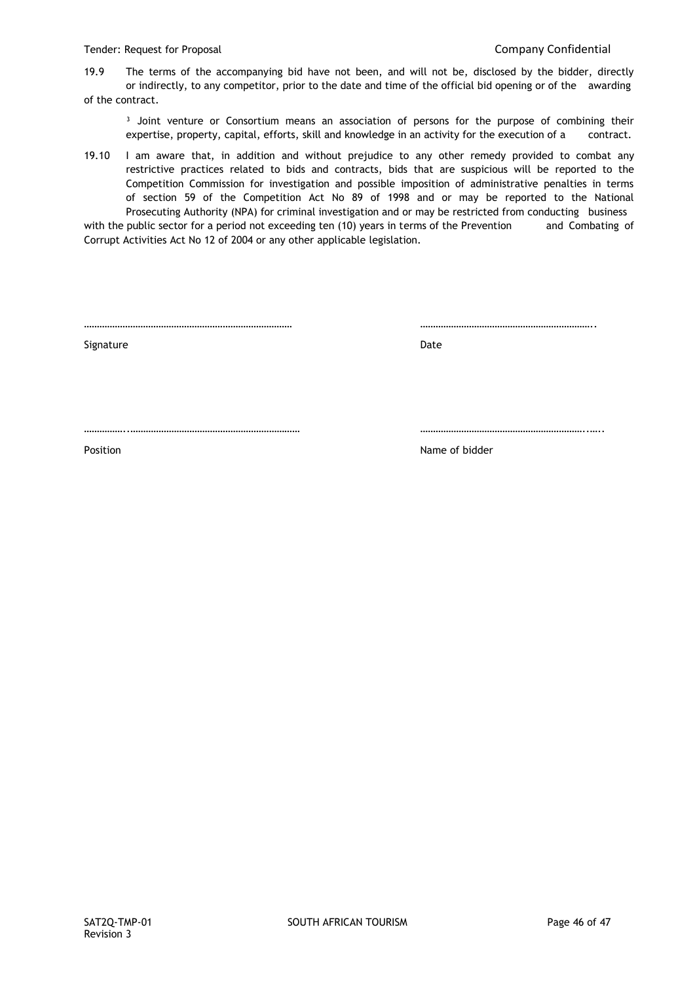19.9 The terms of the accompanying bid have not been, and will not be, disclosed by the bidder, directly or indirectly, to any competitor, prior to the date and time of the official bid opening or of the awarding of the contract.

<sup>3</sup> Joint venture or Consortium means an association of persons for the purpose of combining their expertise, property, capital, efforts, skill and knowledge in an activity for the execution of a contract.

19.10 I am aware that, in addition and without prejudice to any other remedy provided to combat any restrictive practices related to bids and contracts, bids that are suspicious will be reported to the Competition Commission for investigation and possible imposition of administrative penalties in terms of section 59 of the Competition Act No 89 of 1998 and or may be reported to the National Prosecuting Authority (NPA) for criminal investigation and or may be restricted from conducting business

with the public sector for a period not exceeding ten (10) years in terms of the Prevention and Combating of Corrupt Activities Act No 12 of 2004 or any other applicable legislation.

……………………………………………………………………… …………………………………………………………..

Signature Date

……………..………………………………………………………… ………………………………………………………..…..

Position **Position Position Position Position Position Position Position Position Position Position Position Position Position Position Position Position Position Position Position Pos**